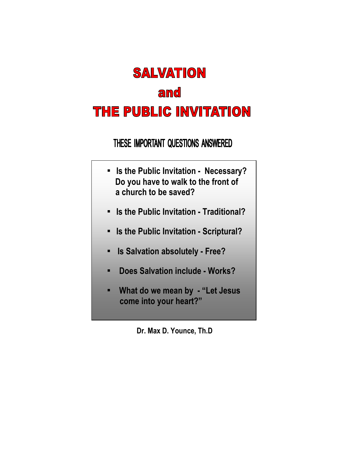# **SALVATION** and THE PUBLIC INVITATION

THESE IMPORTANT QUESTIONS ANSWERED

- Is the Public Invitation Necessary? Do you have to walk to the front of a church to be saved?
- Is the Public Invitation Traditional?
- Is the Public Invitation Scriptural?
- Is Salvation absolutely Free?
- Does Salvation include Works?
- What do we mean by "Let Jesus come into your heart?"

Dr. Max D. Younce, Th.D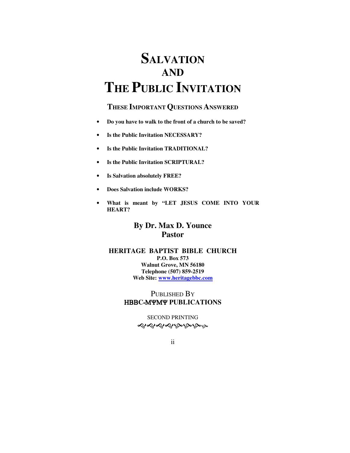## **SALVATION AND THE PUBLIC INVITATION**

### **THESE IMPORTANT QUESTIONS ANSWERED**

- **Do you have to walk to the front of a church to be saved?**
- **Is the Public Invitation NECESSARY?**
- **Is the Public Invitation TRADITIONAL?**
- **Is the Public Invitation SCRIPTURAL?**
- **Is Salvation absolutely FREE?**
- **Does Salvation include WORKS?**
- **What is meant by "LET JESUS COME INTO YOUR HEART?**

## **By Dr. Max D. Younce Pastor**

#### **HERITAGE BAPTIST BIBLE CHURCH P.O. Box 573 Walnut Grove, MN 56180 Telephone (507) 859-2519 Web Site: www.heritagebbc.com**

PUBLISHED BY HBB**C**-MYMY **PUBLICATIONS**

> SECOND PRINTING ৼ৾ড়ড়ড়ড়ড়ড়

ii in de la provincia de la provincia de la provincia de la provincia de la provincia de la provincia del prov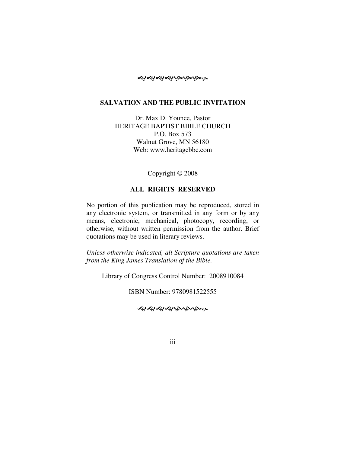

#### **SALVATION AND THE PUBLIC INVITATION**

Dr. Max D. Younce, Pastor HERITAGE BAPTIST BIBLE CHURCH P.O. Box 573 Walnut Grove, MN 56180 Web: www.heritagebbc.com

Copyright © 2008

#### **ALL RIGHTS RESERVED**

No portion of this publication may be reproduced, stored in any electronic system, or transmitted in any form or by any means, electronic, mechanical, photocopy, recording, or otherwise, without written permission from the author. Brief quotations may be used in literary reviews.

*Unless otherwise indicated, all Scripture quotations are taken from the King James Translation of the Bible.* 

Library of Congress Control Number: 2008910084

ISBN Number: 9780981522555

----

iii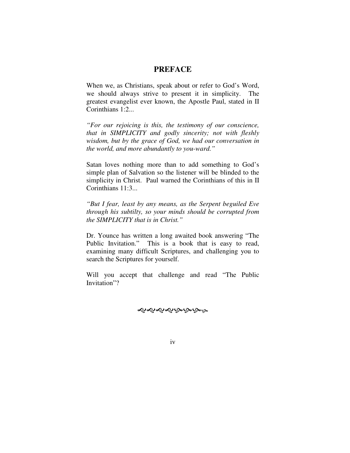#### **PREFACE**

When we, as Christians, speak about or refer to God's Word, we should always strive to present it in simplicity. The greatest evangelist ever known, the Apostle Paul, stated in II Corinthians 1:2...

*"For our rejoicing is this, the testimony of our conscience, that in SIMPLICITY and godly sincerity; not with fleshly wisdom, but by the grace of God, we had our conversation in the world, and more abundantly to you-ward."* 

Satan loves nothing more than to add something to God's simple plan of Salvation so the listener will be blinded to the simplicity in Christ. Paul warned the Corinthians of this in II Corinthians 11:3...

*"But I fear, least by any means, as the Serpent beguiled Eve through his subtilty, so your minds should be corrupted from the SIMPLICITY that is in Christ."* 

Dr. Younce has written a long awaited book answering "The Public Invitation." This is a book that is easy to read, examining many difficult Scriptures, and challenging you to search the Scriptures for yourself.

Will you accept that challenge and read "The Public Invitation"?

ৼ৽৻৽৻৽৻৽৻৽৻৽৽

iv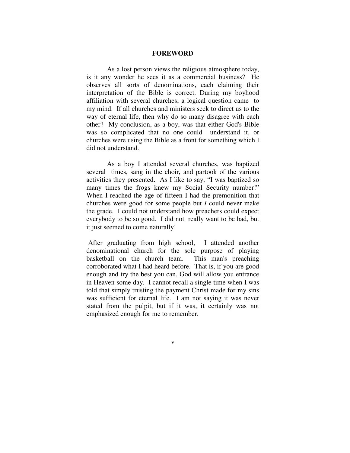#### **FOREWORD**

 As a lost person views the religious atmosphere today, is it any wonder he sees it as a commercial business? He observes all sorts of denominations, each claiming their interpretation of the Bible is correct. During my boyhood affiliation with several churches, a logical question came to my mind. If all churches and ministers seek to direct us to the way of eternal life, then why do so many disagree with each other? My conclusion, as a boy, was that either God's Bible was so complicated that no one could understand it, or churches were using the Bible as a front for something which I did not understand.

 As a boy I attended several churches, was baptized several times, sang in the choir, and partook of the various activities they presented. As I like to say, "I was baptized so many times the frogs knew my Social Security number!" When I reached the age of fifteen I had the premonition that churches were good for some people but *I* could never make the grade. I could not understand how preachers could expect everybody to be so good. I did not really want to be bad, but it just seemed to come naturally!

 After graduating from high school, I attended another denominational church for the sole purpose of playing basketball on the church team. This man's preaching corroborated what I had heard before. That is, if you are good enough and try the best you can, God will allow you entrance in Heaven some day. I cannot recall a single time when I was told that simply trusting the payment Christ made for my sins was sufficient for eternal life. I am not saying it was never stated from the pulpit, but if it was, it certainly was not emphasized enough for me to remember.

v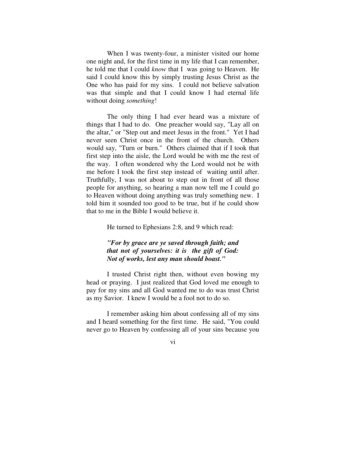When I was twenty-four, a minister visited our home one night and, for the first time in my life that I can remember, he told me that I could *know* that I was going to Heaven. He said I could know this by simply trusting Jesus Christ as the One who has paid for my sins. I could not believe salvation was that simple and that I could know I had eternal life without doing *something*!

 The only thing I had ever heard was a mixture of things that I had to do. One preacher would say, "Lay all on the altar," or "Step out and meet Jesus in the front." Yet I had never seen Christ once in the front of the church. Others would say, "Turn or burn." Others claimed that if I took that first step into the aisle, the Lord would be with me the rest of the way. I often wondered why the Lord would not be with me before I took the first step instead of waiting until after. Truthfully, I was not about to step out in front of all those people for anything, so hearing a man now tell me I could go to Heaven without doing anything was truly something new. I told him it sounded too good to be true, but if he could show that to me in the Bible I would believe it.

He turned to Ephesians 2:8, and 9 which read:

#### *"For by grace are ye saved through faith; and that not of yourselves: it is the gift of God: Not of works, lest any man should boast."*

 I trusted Christ right then, without even bowing my head or praying. I just realized that God loved me enough to pay for my sins and all God wanted me to do was trust Christ as my Savior. I knew I would be a fool not to do so.

 I remember asking him about confessing all of my sins and I heard something for the first time. He said, "You could never go to Heaven by confessing all of your sins because you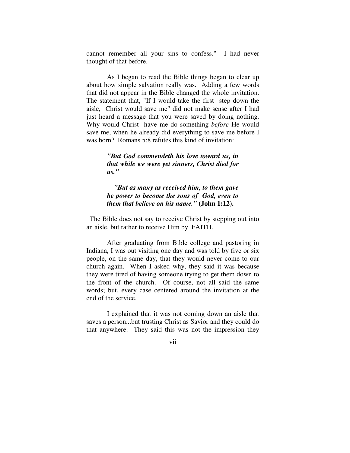cannot remember all your sins to confess." I had never thought of that before.

 As I began to read the Bible things began to clear up about how simple salvation really was. Adding a few words that did not appear in the Bible changed the whole invitation. The statement that, "If I would take the first step down the aisle, Christ would save me" did not make sense after I had just heard a message that you were saved by doing nothing. Why would Christ have me do something *before* He would save me, when he already did everything to save me before I was born? Romans 5:8 refutes this kind of invitation:

> *"But God commendeth his love toward us, in that while we were yet sinners, Christ died for us."*

> *"But as many as received him, to them gave he power to become the sons of God, even to them that believe on his name."* **(John 1:12).**

 The Bible does not say to receive Christ by stepping out into an aisle, but rather to receive Him by FAITH.

 After graduating from Bible college and pastoring in Indiana, I was out visiting one day and was told by five or six people, on the same day, that they would never come to our church again. When I asked why, they said it was because they were tired of having someone trying to get them down to the front of the church. Of course, not all said the same words; but, every case centered around the invitation at the end of the service.

 I explained that it was not coming down an aisle that saves a person...but trusting Christ as Savior and they could do that anywhere. They said this was not the impression they

vii viited valitatud valitatud valitatud valitatud valitatud valitatud valitatud valitatud valitatud valitatud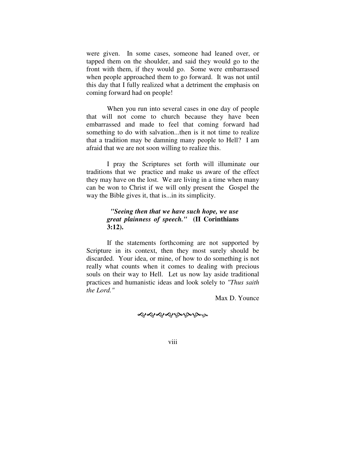were given. In some cases, someone had leaned over, or tapped them on the shoulder, and said they would go to the front with them, if they would go. Some were embarrassed when people approached them to go forward. It was not until this day that I fully realized what a detriment the emphasis on coming forward had on people!

 When you run into several cases in one day of people that will not come to church because they have been embarrassed and made to feel that coming forward had something to do with salvation...then is it not time to realize that a tradition may be damning many people to Hell? I am afraid that we are not soon willing to realize this.

 I pray the Scriptures set forth will illuminate our traditions that we practice and make us aware of the effect they may have on the lost. We are living in a time when many can be won to Christ if we will only present the Gospel the way the Bible gives it, that is...in its simplicity.

#### *"Seeing then that we have such hope, we use great plainness of speech."* **(II Corinthians 3:12).**

 If the statements forthcoming are not supported by Scripture in its context, then they most surely should be discarded. Your idea, or mine, of how to do something is not really what counts when it comes to dealing with precious souls on their way to Hell. Let us now lay aside traditional practices and humanistic ideas and look solely to *"Thus saith the Lord."*

Max D. Younce

----

viii viii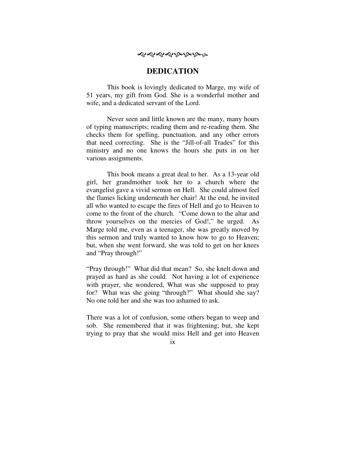## ৼ৽৻৽৻৽৻৽৻৽৻৽৽

#### **DEDICATION**

 This book is lovingly dedicated to Marge, my wife of 51 years, my gift from God. She is a wonderful mother and wife, and a dedicated servant of the Lord.

 Never seen and little known are the many, many hours of typing manuscripts; reading them and re-reading them. She checks them for spelling, punctuation, and any other errors that need correcting. She is the "Jill-of-all Trades" for this ministry and no one knows the hours she puts in on her various assignments.

 This book means a great deal to her. As a 13-year old girl, her grandmother took her to a church where the evangelist gave a vivid sermon on Hell. She could almost feel the flames licking underneath her chair! At the end, he invited all who wanted to escape the fires of Hell and go to Heaven to come to the front of the church. "Come down to the altar and throw yourselves on the mercies of God!," he urged. As Marge told me, even as a teenager, she was greatly moved by this sermon and truly wanted to know how to go to Heaven; but, when she went forward, she was told to get on her knees and "Pray through!"

"Pray through!" What did that mean? So, she knelt down and prayed as hard as she could. Not having a lot of experience with prayer, she wondered, What was she supposed to pray for? What was she going "through?" What should she say? No one told her and she was too ashamed to ask.

There was a lot of confusion, some others began to weep and sob. She remembered that it was frightening; but, she kept trying to pray that she would miss Hell and get into Heaven

ix and in the state of  $\overline{a}$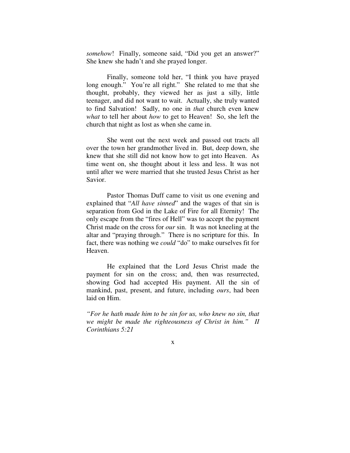*somehow*! Finally, someone said, "Did you get an answer?" She knew she hadn't and she prayed longer.

 Finally, someone told her, "I think you have prayed long enough." You're all right." She related to me that she thought, probably, they viewed her as just a silly, little teenager, and did not want to wait. Actually, she truly wanted to find Salvation! Sadly, no one in *that* church even knew *what* to tell her about *how* to get to Heaven! So, she left the church that night as lost as when she came in.

 She went out the next week and passed out tracts all over the town her grandmother lived in. But, deep down, she knew that she still did not know how to get into Heaven. As time went on, she thought about it less and less. It was not until after we were married that she trusted Jesus Christ as her Savior.

 Pastor Thomas Duff came to visit us one evening and explained that "*All have sinned*" and the wages of that sin is separation from God in the Lake of Fire for all Eternity! The only escape from the "fires of Hell" was to accept the payment Christ made on the cross for *our* sin. It was not kneeling at the altar and "praying through." There is no scripture for this. In fact, there was nothing we *could* "do" to make ourselves fit for Heaven.

 He explained that the Lord Jesus Christ made the payment for sin on the cross; and, then was resurrected, showing God had accepted His payment. All the sin of mankind, past, present, and future, including *ours*, had been laid on Him.

*"For he hath made him to be sin for us, who knew no sin, that we might be made the righteousness of Christ in him." II Corinthians 5:21*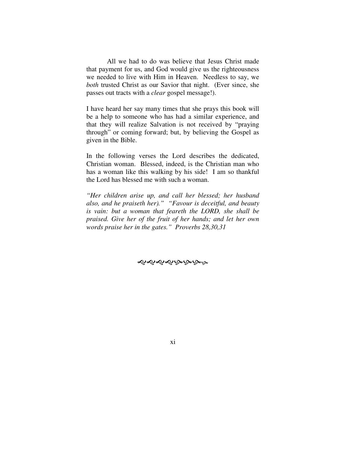All we had to do was believe that Jesus Christ made that payment for us, and God would give us the righteousness we needed to live with Him in Heaven. Needless to say, we *both* trusted Christ as our Savior that night. (Ever since, she passes out tracts with a *clear* gospel message!).

I have heard her say many times that she prays this book will be a help to someone who has had a similar experience, and that they will realize Salvation is not received by "praying through" or coming forward; but, by believing the Gospel as given in the Bible.

In the following verses the Lord describes the dedicated, Christian woman. Blessed, indeed, is the Christian man who has a woman like this walking by his side! I am so thankful the Lord has blessed me with such a woman.

*"Her children arise up, and call her blessed; her husband also, and he praiseth her)." "Favour is deceitful, and beauty is vain: but a woman that feareth the LORD, she shall be praised. Give her of the fruit of her hands; and let her own words praise her in the gates." Proverbs 28,30,31*

ৼ৽৻৽৻৽৻৽৻৽৻৽৽

xi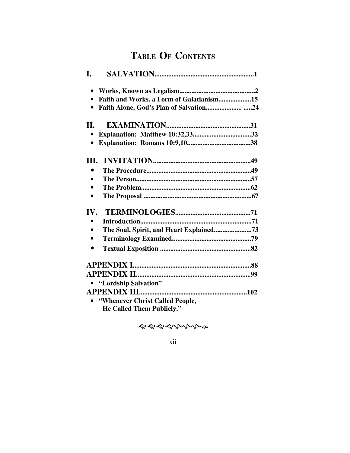## TABLE OF CONTENTS

| L.         |                                          |
|------------|------------------------------------------|
|            |                                          |
| $\bullet$  | Faith and Works, a Form of Galatianism15 |
|            |                                          |
| <b>II.</b> |                                          |
|            |                                          |
|            |                                          |
| III.       |                                          |
| $\bullet$  |                                          |
| $\bullet$  |                                          |
|            |                                          |
| $\bullet$  |                                          |
| IV.        |                                          |
| $\bullet$  |                                          |
|            |                                          |
| $\bullet$  |                                          |
| $\bullet$  |                                          |
|            |                                          |
|            |                                          |
|            | • "Lordship Salvation"                   |
|            |                                          |
|            | • "Whenever Christ Called People,        |
|            | $H_0$ Called Them Dukliely $\mathcal{V}$ |

He Called Them Publicly.'

ৼ৽৻৽৻৽৻৽৻৽৻৽

xii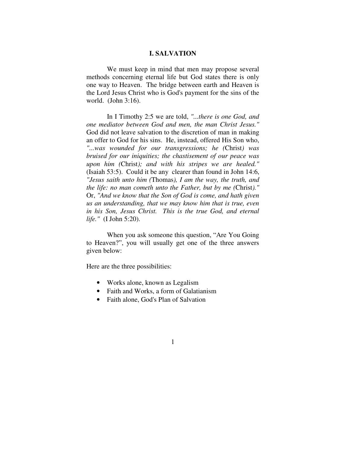#### **I. SALVATION**

 We must keep in mind that men may propose several methods concerning eternal life but God states there is only one way to Heaven. The bridge between earth and Heaven is the Lord Jesus Christ who is God's payment for the sins of the world. (John 3:16).

 In I Timothy 2:5 we are told, *"...there is one God, and one mediator between God and men, the man Christ Jesus."* God did not leave salvation to the discretion of man in making an offer to God for his sins. He, instead, offered His Son who, *"...was wounded for our transgressions; he (*Christ*) was bruised for our iniquities; the chastisement of our peace was upon him (*Christ*); and with his stripes we are healed."*  (Isaiah 53:5). Could it be any clearer than found in John 14:6, *"Jesus saith unto him (*Thomas*), I am the way, the truth, and the life: no man cometh unto the Father, but by me (*Christ*)."*  Or, *"And we know that the Son of God is come, and hath given us an understanding, that we may know him that is true, even in his Son, Jesus Christ. This is the true God, and eternal life."* (I John 5:20).

 When you ask someone this question, "Are You Going to Heaven?", you will usually get one of the three answers given below:

Here are the three possibilities:

- Works alone, known as Legalism
- Faith and Works, a form of Galatianism
- Faith alone, God's Plan of Salvation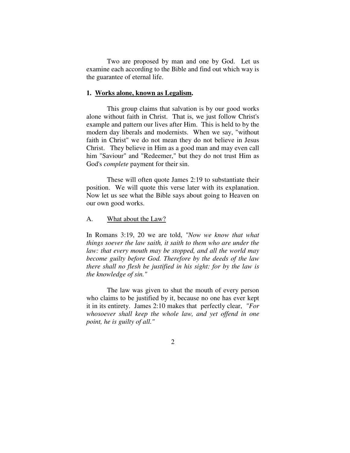Two are proposed by man and one by God. Let us examine each according to the Bible and find out which way is the guarantee of eternal life.

#### **1. Works alone, known as Legalism.**

 This group claims that salvation is by our good works alone without faith in Christ. That is, we just follow Christ's example and pattern our lives after Him. This is held to by the modern day liberals and modernists. When we say, "without faith in Christ" we do not mean they do not believe in Jesus Christ. They believe in Him as a good man and may even call him "Saviour" and "Redeemer," but they do not trust Him as God's *complete* payment for their sin.

 These will often quote James 2:19 to substantiate their position. We will quote this verse later with its explanation. Now let us see what the Bible says about going to Heaven on our own good works.

#### A. What about the Law?

In Romans 3:19, 20 we are told, *"Now we know that what things soever the law saith, it saith to them who are under the law: that every mouth may be stopped, and all the world may become guilty before God. Therefore by the deeds of the law there shall no flesh be justified in his sight: for by the law is the knowledge of sin."* 

 The law was given to shut the mouth of every person who claims to be justified by it, because no one has ever kept it in its entirety. James 2:10 makes that perfectly clear, *"For whosoever shall keep the whole law, and yet offend in one point, he is guilty of all."*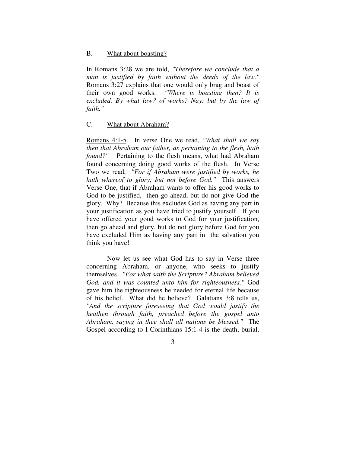#### B. What about boasting?

In Romans 3:28 we are told, *"Therefore we conclude that a man is justified by faith without the deeds of the law."* Romans 3:27 explains that one would only brag and boast of their own good works. *"Where is boasting then? It is excluded. By what law? of works? Nay: but by the law of faith."*

#### C. What about Abraham?

Romans 4:1-5. In verse One we read, *"What shall we say then that Abraham our father, as pertaining to the flesh, hath found?"* Pertaining to the flesh means, what had Abraham found concerning doing good works of the flesh. In Verse Two we read, *"For if Abraham were justified by works, he hath whereof to glory; but not before God."* This answers Verse One, that if Abraham wants to offer his good works to God to be justified, then go ahead, but do not give God the glory. Why? Because this excludes God as having any part in your justification as you have tried to justify yourself. If you have offered your good works to God for your justification, then go ahead and glory, but do not glory before God for you have excluded Him as having any part in the salvation you think you have!

 Now let us see what God has to say in Verse three concerning Abraham, or anyone, who seeks to justify themselves. *"For what saith the Scripture? Abraham believed God, and it was counted unto him for righteousness."* God gave him the righteousness he needed for eternal life because of his belief. What did he believe? Galatians 3:8 tells us, *"And the scripture foreseeing that God would justify the heathen through faith, preached before the gospel unto Abraham, saying in thee shall all nations be blessed."* The Gospel according to I Corinthians 15:1-4 is the death, burial,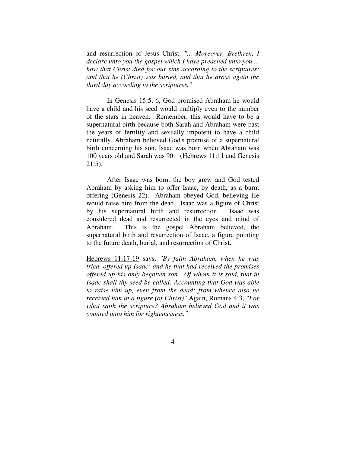and resurrection of Jesus Christ. *"... Moreover, Brethren, I declare unto you the gospel which I have preached unto you ... how that Christ died for our sins according to the scriptures: and that he (Christ) was buried, and that he arose again the third day according to the scriptures."* 

 In Genesis 15:5, 6, God promised Abraham he would have a child and his seed would multiply even to the number of the stars in heaven. Remember, this would have to be a supernatural birth because both Sarah and Abraham were past the years of fertility and sexually impotent to have a child naturally. Abraham believed God's promise of a supernatural birth concerning his son. Isaac was born when Abraham was 100 years old and Sarah was 90. (Hebrews 11:11 and Genesis 21:5).

 After Isaac was born, the boy grew and God tested Abraham by asking him to offer Isaac, by death, as a burnt offering (Genesis 22). Abraham obeyed God, believing He would raise him from the dead. Isaac was a figure of Christ by his supernatural birth and resurrection. Isaac was considered dead and resurrected in the eyes and mind of Abraham. This is the gospel Abraham believed, the supernatural birth and resurrection of Isaac, a figure pointing to the future death, burial, and resurrection of Christ.

Hebrews 11:17-19 says, *"By faith Abraham, when he was tried, offered up Isaac: and he that had received the promises offered up his only begotten son. Of whom it is said, that in Isaac shall thy seed be called: Accounting that God was able to raise him up, even from the dead; from whence also he received him in a figure (of Christ)"* Again, Romans 4:3, *"For what saith the scripture? Abraham believed God and it was counted unto him for righteousness."*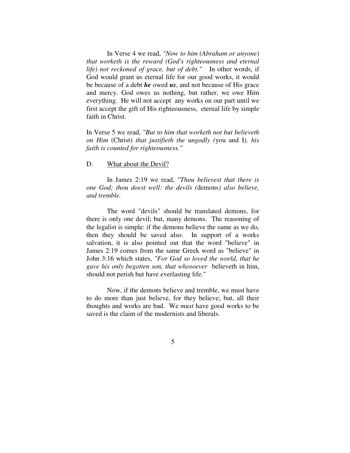In Verse 4 we read, *"Now to him (Abraham or anyone) that worketh is the reward (God's righteousness and eternal life) not reckoned of grace, but of debt."* In other words, if God would grant us eternal life for our good works, it would be because of a debt *he* owed *us*, and not because of His grace and mercy. God owes us nothing, but rather, we owe Him everything. He will not accept any works on our part until we first accept the gift of His righteousness, eternal life by simple faith in Christ.

In Verse 5 we read, *"But to him that worketh not but believeth on Him* (Christ) *that justifieth the ungodly (*you and I*), his faith is counted for righteousness."* 

#### D. What about the Devil?

 In James 2:19 we read, *"Thou believest that there is one God; thou doest well: the devils (*demons*) also believe, and tremble.* 

 The word "devils" should be translated demons, for there is only one devil; but, many demons. The reasoning of the legalist is simple: if the demons believe the same as we do, then they should be saved also. In support of a works salvation, it is also pointed out that the word "believe" in James 2:19 comes from the same Greek word as "believe" in John 3:16 which states, *"For God so loved the world, that he gave his only begotten son, that whosoever* believeth in him, should not perish but have everlasting life."

 Now, if the demons believe and tremble, we must have to do more than just believe, for they believe; but, all their thoughts and works are bad. We *must* have good works to be saved is the claim of the modernists and liberals.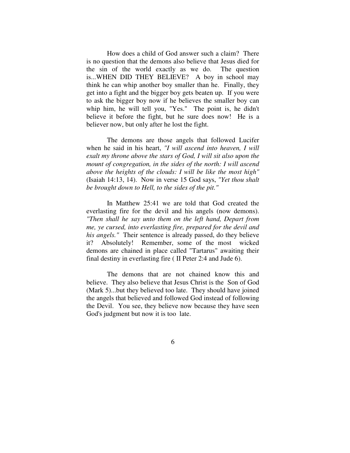How does a child of God answer such a claim? There is no question that the demons also believe that Jesus died for the sin of the world exactly as we do. The question is...WHEN DID THEY BELIEVE? A boy in school may think he can whip another boy smaller than he. Finally, they get into a fight and the bigger boy gets beaten up. If you were to ask the bigger boy now if he believes the smaller boy can whip him, he will tell you, "Yes." The point is, he didn't believe it before the fight, but he sure does now! He is a believer now, but only after he lost the fight.

 The demons are those angels that followed Lucifer when he said in his heart, *"I will ascend into heaven, I will exalt my throne above the stars of God, I will sit also upon the mount of congregation, in the sides of the north: I will ascend above the heights of the clouds: I will be like the most high"* (Isaiah 14:13, 14). Now in verse 15 God says, *"Yet thou shalt be brought down to Hell, to the sides of the pit."* 

 In Matthew 25:41 we are told that God created the everlasting fire for the devil and his angels (now demons). *"Then shall he say unto them on the left hand, Depart from me, ye cursed, into everlasting fire, prepared for the devil and his angels."* Their sentence is already passed, do they believe it? Absolutely! Remember, some of the most wicked demons are chained in place called "Tartarus" awaiting their final destiny in everlasting fire ( II Peter 2:4 and Jude 6).

 The demons that are not chained know this and believe. They also believe that Jesus Christ is the Son of God (Mark 5)...but they believed too late. They should have joined the angels that believed and followed God instead of following the Devil. You see, they believe now because they have seen God's judgment but now it is too late.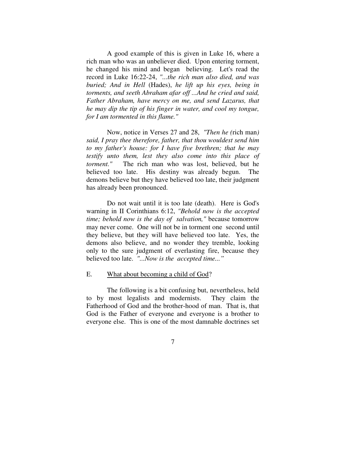A good example of this is given in Luke 16, where a rich man who was an unbeliever died. Upon entering torment, he changed his mind and began believing. Let's read the record in Luke 16:22-24, *"...the rich man also died, and was buried; And in Hell* (Hades), *he lift up his eyes, being in torments, and seeth Abraham afar off ...And he cried and said, Father Abraham, have mercy on me, and send Lazarus, that he may dip the tip of his finger in water, and cool my tongue, for I am tormented in this flame."*

 Now, notice in Verses 27 and 28, *"Then he (*rich man*) said, I pray thee therefore, father, that thou wouldest send him to my father's house: for I have five brethren; that he may testify unto them, lest they also come into this place of torment."* The rich man who was lost, believed, but he believed too late. His destiny was already begun. The demons believe but they have believed too late, their judgment has already been pronounced.

 Do not wait until it is too late (death). Here is God's warning in II Corinthians 6:12, *"Behold now is the accepted time; behold now is the day of salvation,"* because tomorrow may never come. One will not be in torment one second until they believe, but they will have believed too late. Yes, the demons also believe, and no wonder they tremble, looking only to the sure judgment of everlasting fire, because they believed too late. *"...Now is the accepted time..."* 

#### E. What about becoming a child of God?

 The following is a bit confusing but, nevertheless, held to by most legalists and modernists. They claim the Fatherhood of God and the brother-hood of man. That is, that God is the Father of everyone and everyone is a brother to everyone else. This is one of the most damnable doctrines set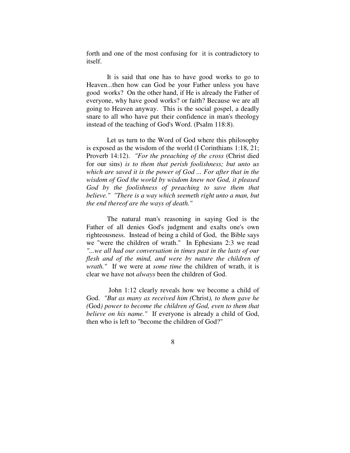forth and one of the most confusing for it is contradictory to itself.

 It is said that one has to have good works to go to Heaven...then how can God be your Father unless you have good works? On the other hand, if He is already the Father of everyone, why have good works? or faith? Because we are all going to Heaven anyway. This is the social gospel, a deadly snare to all who have put their confidence in man's theology instead of the teaching of God's Word. (Psalm 118:8).

 Let us turn to the Word of God where this philosophy is exposed as the wisdom of the world (I Corinthians 1:18, 21; Proverb 14:12). *"For the preaching of the cross* (Christ died for our sins) *is to them that perish foolishness; but unto us which are saved it is the power of God ... For after that in the wisdom of God the world by wisdom knew not God, it pleased God by the foolishness of preaching to save them that believe." "There is a way which seemeth right unto a man, but the end thereof are the ways of death."* 

 The natural man's reasoning in saying God is the Father of all denies God's judgment and exalts one's own righteousness. Instead of being a child of God, the Bible says we "were the children of wrath." In Ephesians 2:3 we read *"...we all had our conversation in times past in the lusts of our flesh and of the mind, and were by nature the children of wrath."* If we were at *some time* the children of wrath, it is clear we have not *always* been the children of God.

 John 1:12 clearly reveals how we become a child of God. *"But as many as received him (*Christ*), to them gave he (*God*) power to become the children of God, even to them that believe on his name."* If everyone is already a child of God, then who is left to "become the children of God?"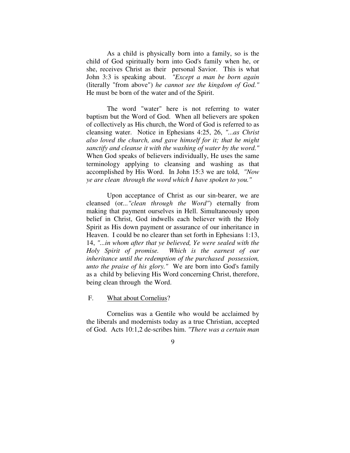As a child is physically born into a family, so is the child of God spiritually born into God's family when he, or she, receives Christ as their personal Savior. This is what John 3:3 is speaking about. *"Except a man be born again* (literally "from above") *he cannot see the kingdom of God."*  He must be born of the water and of the Spirit.

 The word "water" here is not referring to water baptism but the Word of God. When all believers are spoken of collectively as His church, the Word of God is referred to as cleansing water. Notice in Ephesians 4:25, 26, *"...as Christ also loved the church, and gave himself for it; that he might sanctify and cleanse it with the washing of water by the word."* When God speaks of believers individually, He uses the same terminology applying to cleansing and washing as that accomplished by His Word. In John 15:3 we are told, *"Now ye are clean through the word which I have spoken to you."* 

 Upon acceptance of Christ as our sin-bearer, we are cleansed (or*..."clean through the Word"*) eternally from making that payment ourselves in Hell. Simultaneously upon belief in Christ, God indwells each believer with the Holy Spirit as His down payment or assurance of our inheritance in Heaven. I could be no clearer than set forth in Ephesians 1:13, 14, *"...in whom after that ye believed, Ye were sealed with the Holy Spirit of promise. Which is the earnest of our inheritance until the redemption of the purchased possession, unto the praise of his glory."* We are born into God's family as a child by believing His Word concerning Christ, therefore, being clean through the Word.

#### F. What about Cornelius?

 Cornelius was a Gentile who would be acclaimed by the liberals and modernists today as a true Christian, accepted of God. Acts 10:1,2 de-scribes him. *"There was a certain man*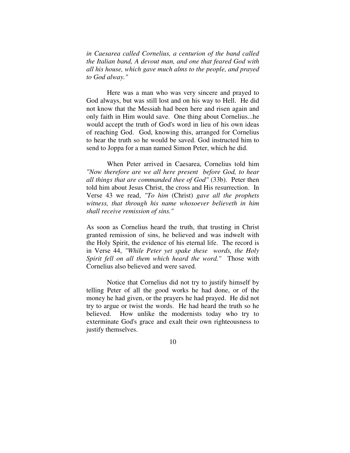*in Caesarea called Cornelius, a centurion of the band called the Italian band, A devout man, and one that feared God with all his house, which gave much alms to the people, and prayed to God alway."* 

 Here was a man who was very sincere and prayed to God always, but was still lost and on his way to Hell. He did not know that the Messiah had been here and risen again and only faith in Him would save. One thing about Cornelius...he would accept the truth of God's word in lieu of his own ideas of reaching God. God, knowing this, arranged for Cornelius to hear the truth so he would be saved. God instructed him to send to Joppa for a man named Simon Peter, which he did.

 When Peter arrived in Caesarea, Cornelius told him *"Now therefore are we all here present before God, to hear all things that are commanded thee of God"* (33b). Peter then told him about Jesus Christ, the cross and His resurrection. In Verse 43 we read, *"To him* (Christ) *gave all the prophets witness, that through his name whosoever believeth in him shall receive remission of sins."*

As soon as Cornelius heard the truth, that trusting in Christ granted remission of sins, he believed and was indwelt with the Holy Spirit, the evidence of his eternal life. The record is in Verse 44, *"While Peter yet spake these words, the Holy Spirit fell on all them which heard the word."* Those with Cornelius also believed and were saved.

 Notice that Cornelius did not try to justify himself by telling Peter of all the good works he had done, or of the money he had given, or the prayers he had prayed. He did not try to argue or twist the words. He had heard the truth so he believed. How unlike the modernists today who try to exterminate God's grace and exalt their own righteousness to justify themselves.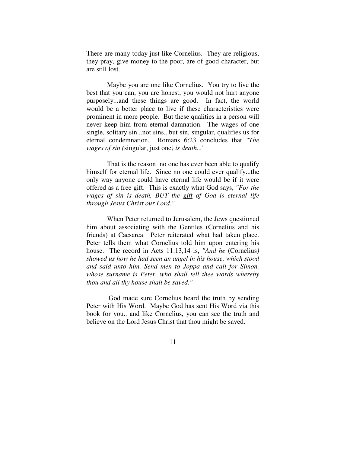There are many today just like Cornelius. They are religious, they pray, give money to the poor, are of good character, but are still lost.

 Maybe you are one like Cornelius. You try to live the best that you can, you are honest, you would not hurt anyone purposely...and these things are good. In fact, the world would be a better place to live if these characteristics were prominent in more people. But these qualities in a person will never keep him from eternal damnation. The wages of one single, solitary sin...not sins...but sin, singular, qualifies us for eternal condemnation. Romans 6:23 concludes that *"The wages of sin (*singular, just one*) is death...*"

 That is the reason no one has ever been able to qualify himself for eternal life. Since no one could ever qualify...the only way anyone could have eternal life would be if it were offered as a free gift. This is exactly what God says, *"For the wages of sin is death, BUT the gift of God is eternal life through Jesus Christ our Lord."*

 When Peter returned to Jerusalem, the Jews questioned him about associating with the Gentiles (Cornelius and his friends) at Caesarea. Peter reiterated what had taken place. Peter tells them what Cornelius told him upon entering his house. The record in Acts 11:13,14 is, *"And he* (Cornelius*) showed us how he had seen an angel in his house, which stood and said unto him, Send men to Joppa and call for Simon, whose surname is Peter, who shall tell thee words whereby thou and all thy house shall be saved."* 

 God made sure Cornelius heard the truth by sending Peter with His Word. Maybe God has sent His Word via this book for you.. and like Cornelius, you can see the truth and believe on the Lord Jesus Christ that thou might be saved.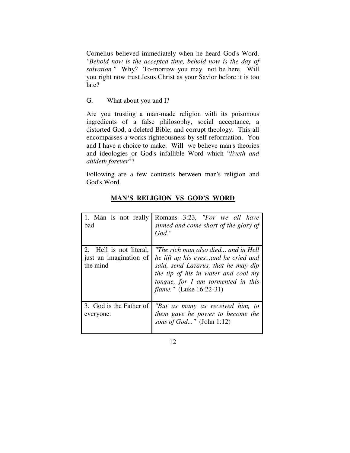Cornelius believed immediately when he heard God's Word. *"Behold now is the accepted time, behold now is the day of salvation."* Why? To-morrow you may not be here. Will you right now trust Jesus Christ as your Savior before it is too late?

#### G. What about you and I?

Are you trusting a man-made religion with its poisonous ingredients of a false philosophy, social acceptance, a distorted God, a deleted Bible, and corrupt theology. This all encompasses a works righteousness by self-reformation. You and I have a choice to make. Will we believe man's theories and ideologies or God's infallible Word which "*liveth and abideth forever*"?

Following are a few contrasts between man's religion and God's Word.

| 1. Man is not really<br>bad                                   | Romans 3:23, "For we all have<br>sinned and come short of the glory of<br>$God.$ "                                                                                                                                               |
|---------------------------------------------------------------|----------------------------------------------------------------------------------------------------------------------------------------------------------------------------------------------------------------------------------|
| 2. Hell is not literal,<br>just an imagination of<br>the mind | "The rich man also died and in Hell<br>he lift up his eyesand he cried and<br>said, send Lazarus, that he may dip<br>the tip of his in water and cool my<br>tongue, for I am tormented in this<br><i>flame."</i> (Luke 16:22-31) |
| 3. God is the Father of<br>everyone.                          | "But as many as received him, to<br>them gave he power to become the<br>sons of $God$ " (John 1:12)                                                                                                                              |

### **MAN'S RELIGION VS GOD'S WORD**

12 and 12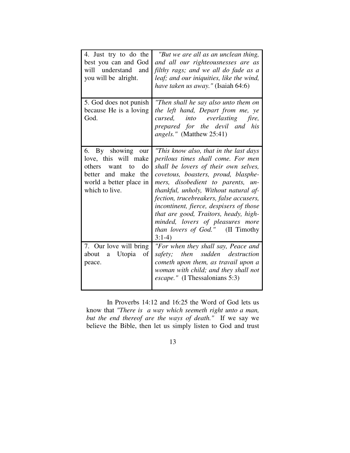| 4. Just try to do the<br>best you can and God<br>will understand and<br>you will be alright.                                                   | "But we are all as an unclean thing,<br>and all our righteousnesses are as<br>filthy rags; and we all do fade as a<br>leaf; and our iniquities, like the wind,<br>have taken us away." (Isaiah 64:6)                                                                                                                                                                                                                                                         |
|------------------------------------------------------------------------------------------------------------------------------------------------|--------------------------------------------------------------------------------------------------------------------------------------------------------------------------------------------------------------------------------------------------------------------------------------------------------------------------------------------------------------------------------------------------------------------------------------------------------------|
| 5. God does not punish<br>because He is a loving<br>God.                                                                                       | "Then shall he say also unto them on<br>the left hand, Depart from me, ye<br>into everlasting fire,<br>cursed,<br>prepared for the devil and his<br>angels." (Matthew 25:41)                                                                                                                                                                                                                                                                                 |
| 6. By showing our<br>love, this will make<br>do<br>others<br>want<br>to<br>better and make<br>the<br>world a better place in<br>which to live. | "This know also, that in the last days"<br>perilous times shall come. For men<br>shall be lovers of their own selves,<br>covetous, boasters, proud, blasphe-<br>mers, disobedient to parents, un-<br>thankful, unholy, Without natural af-<br>fection, trucebreakers, false accusers,<br>incontinent, fierce, despisers of those<br>that are good, Traitors, heady, high-<br>minded, lovers of pleasures more<br>than lovers of God." (II Timothy<br>$3:1-4$ |
| 7. Our love will bring<br>Utopia<br>of<br>about<br>a<br>peace.                                                                                 | "For when they shall say, Peace and<br>then sudden destruction<br>safety;<br>cometh upon them, as travail upon a<br>woman with child; and they shall not<br><i>escape.</i> " (I Thessalonians 5:3)                                                                                                                                                                                                                                                           |

 In Proverbs 14:12 and 16:25 the Word of God lets us know that *"There is a way which seemeth right unto a man, but the end thereof are the ways of death."* If we say we believe the Bible, then let us simply listen to God and trust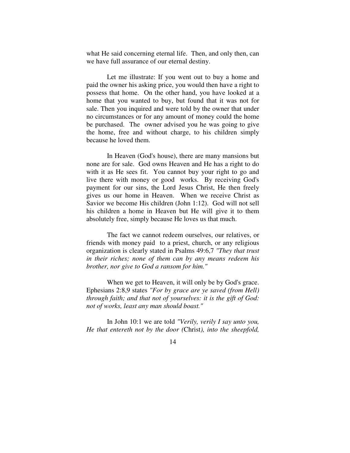what He said concerning eternal life. Then, and only then, can we have full assurance of our eternal destiny.

 Let me illustrate: If you went out to buy a home and paid the owner his asking price, you would then have a right to possess that home. On the other hand, you have looked at a home that you wanted to buy, but found that it was not for sale. Then you inquired and were told by the owner that under no circumstances or for any amount of money could the home be purchased. The owner advised you he was going to give the home, free and without charge, to his children simply because he loved them.

 In Heaven (God's house), there are many mansions but none are for sale. God owns Heaven and He has a right to do with it as He sees fit. You cannot buy your right to go and live there with money or good works. By receiving God's payment for our sins, the Lord Jesus Christ, He then freely gives us our home in Heaven. When we receive Christ as Savior we become His children (John 1:12). God will not sell his children a home in Heaven but He will give it to them absolutely free, simply because He loves us that much.

 The fact we cannot redeem ourselves, our relatives, or friends with money paid to a priest, church, or any religious organization is clearly stated in Psalms 49:6,7 *"They that trust in their riches; none of them can by any means redeem his brother, nor give to God a ransom for him."* 

When we get to Heaven, it will only be by God's grace. Ephesians 2:8,9 states *"For by grace are ye saved (from Hell) through faith; and that not of yourselves: it is the gift of God: not of works, least any man should boast."*

 In John 10:1 we are told *"Verily, verily I say unto you, He that entereth not by the door (*Christ*), into the sheepfold,*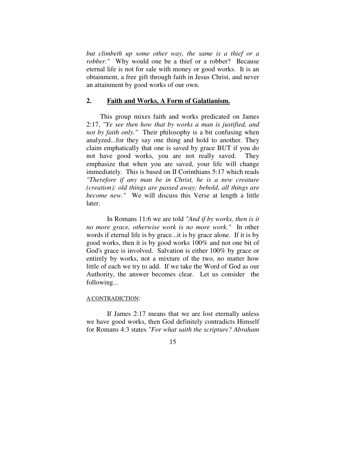*but climbeth up some other way, the same is a thief or a robber.*" Why would one be a thief or a robber? Because eternal life is not for sale with money or good works. It is an obtainment, a free gift through faith in Jesus Christ, and never an attainment by good works of our own.

#### **2. Faith and Works, A Form of Galatianism.**

 This group mixes faith and works predicated on James 2:17, *"Ye see then how that by works a man is justified, and not by faith only."* Their philosophy is a bit confusing when analyzed...for they say one thing and hold to another. They claim emphatically that one is saved by grace BUT if you do not have good works, you are not really saved. They emphasize that when you are saved, your life will change immediately. This is based on II Corinthians 5:17 which reads *"Therefore if any man be in Christ, he is a new creature (creation): old things are passed away; behold, all things are become new."* We will discuss this Verse at length a little later.

 In Romans 11:6 we are told *"And if by works, then is it no more grace, otherwise work is no more work."* In other words if eternal life is by grace...it is by grace alone. If it is by good works, then it is by good works 100% and not one bit of God's grace is involved. Salvation is either 100% by grace or entirely by works, not a mixture of the two, no matter how little of each we try to add. If we take the Word of God as our Authority, the answer becomes clear. Let us consider the following...

#### A CONTRADICTION:

 If James 2:17 means that we are lost eternally unless we have good works, then God definitely contradicts Himself for Romans 4:3 states *"For what saith the scripture? Abraham*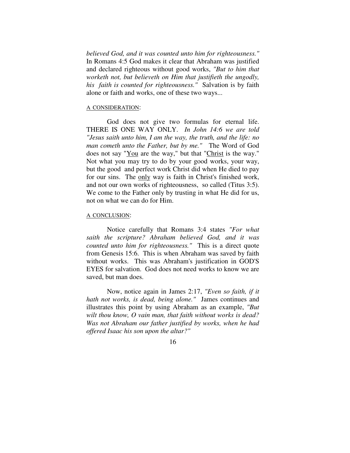*believed God, and it was counted unto him for righteousness."* In Romans 4:5 God makes it clear that Abraham was justified and declared righteous without good works, *"But to him that worketh not, but believeth on Him that justifieth the ungodly, his faith is counted for righteousness."* Salvation is by faith alone or faith and works, one of these two ways...

#### A CONSIDERATION:

 God does not give two formulas for eternal life. THERE IS ONE WAY ONLY. *In John 14:6 we are told "Jesus saith unto him, I am the way, the truth, and the life: no man cometh unto the Father, but by me."* The Word of God does not say "You are the way," but that "Christ is the way." Not what you may try to do by your good works, your way, but the good and perfect work Christ did when He died to pay for our sins. The only way is faith in Christ's finished work, and not our own works of righteousness, so called (Titus 3:5). We come to the Father only by trusting in what He did for us, not on what we can do for Him.

#### A CONCLUSION:

 Notice carefully that Romans 3:4 states *"For what saith the scripture? Abraham believed God, and it was counted unto him for righteousness."* This is a direct quote from Genesis 15:6. This is when Abraham was saved by faith without works. This was Abraham's justification in GOD'S EYES for salvation. God does not need works to know we are saved, but man does.

 Now, notice again in James 2:17, *"Even so faith, if it hath not works, is dead, being alone."* James continues and illustrates this point by using Abraham as an example, *"But wilt thou know, O vain man, that faith without works is dead? Was not Abraham our father justified by works, when he had offered Isaac his son upon the altar?"*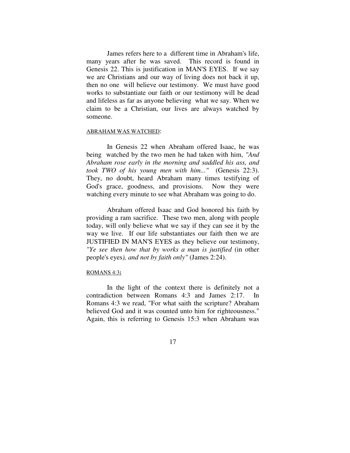James refers here to a different time in Abraham's life, many years after he was saved. This record is found in Genesis 22. This is justification in MAN'S EYES. If we say we are Christians and our way of living does not back it up, then no one will believe our testimony. We must have good works to substantiate our faith or our testimony will be dead and lifeless as far as anyone believing what we say. When we claim to be a Christian, our lives are always watched by someone.

#### ABRAHAM WAS WATCHED:

 In Genesis 22 when Abraham offered Isaac, he was being watched by the two men he had taken with him, *"And Abraham rose early in the morning and saddled his ass, and took TWO of his young men with him..."* (Genesis 22:3). They, no doubt, heard Abraham many times testifying of God's grace, goodness, and provisions. Now they were watching every minute to see what Abraham was going to do.

 Abraham offered Isaac and God honored his faith by providing a ram sacrifice. These two men, along with people today, will only believe what we say if they can see it by the way we live. If our life substantiates our faith then we are JUSTIFIED IN MAN'S EYES as they believe our testimony, *"Ye see then how that by works a man is justified* (in other people's eyes*), and not by faith only"* (James 2:24).

#### ROMANS 4:3**:**

 In the light of the context there is definitely not a contradiction between Romans 4:3 and James 2:17. In Romans 4:3 we read, "For what saith the scripture? Abraham believed God and it was counted unto him for righteousness." Again, this is referring to Genesis 15:3 when Abraham was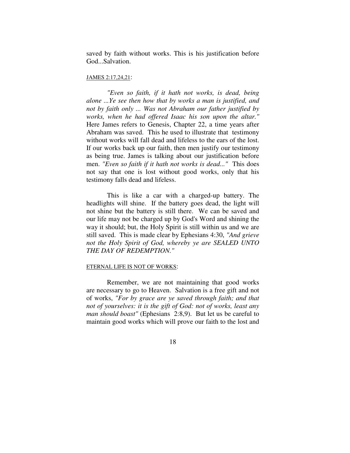saved by faith without works. This is his justification before God...Salvation.

#### JAMES 2:17,24,21:

*"Even so faith, if it hath not works, is dead, being alone ...Ye see then how that by works a man is justified, and not by faith only ... Was not Abraham our father justified by works, when he had offered Isaac his son upon the altar."* Here James refers to Genesis, Chapter 22, a time years after Abraham was saved. This he used to illustrate that testimony without works will fall dead and lifeless to the ears of the lost. If our works back up our faith, then men justify our testimony as being true. James is talking about our justification before men. *"Even so faith if it hath not works is dead..."* This does not say that one is lost without good works, only that his testimony falls dead and lifeless.

 This is like a car with a charged-up battery. The headlights will shine. If the battery goes dead, the light will not shine but the battery is still there. We can be saved and our life may not be charged up by God's Word and shining the way it should; but, the Holy Spirit is still within us and we are still saved. This is made clear by Ephesians 4:30, *"And grieve not the Holy Spirit of God, whereby ye are SEALED UNTO THE DAY OF REDEMPTION."* 

#### ETERNAL LIFE IS NOT OF WORKS:

 Remember, we are not maintaining that good works are necessary to go to Heaven. Salvation is a free gift and not of works, *"For by grace are ye saved through faith; and that not of yourselves: it is the gift of God: not of works, least any man should boast"* (Ephesians 2:8,9). But let us be careful to maintain good works which will prove our faith to the lost and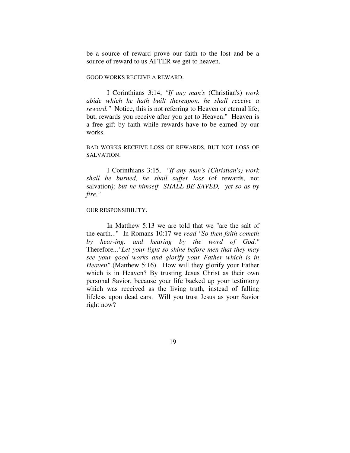be a source of reward prove our faith to the lost and be a source of reward to us AFTER we get to heaven.

#### GOOD WORKS RECEIVE A REWARD.

 I Corinthians 3:14, *"If any man's* (Christian's) *work abide which he hath built thereupon, he shall receive a reward.*" Notice, this is not referring to Heaven or eternal life; but, rewards you receive after you get to Heaven.'' Heaven is a free gift by faith while rewards have to be earned by our works.

#### BAD WORKS RECEIVE LOSS OF REWARDS, BUT NOT LOSS OF SALVATION.

 I Corinthians 3:15, *"If any man's (Christian's) work shall be burned, he shall suffer loss* (of rewards, not salvation*); but he himself SHALL BE SAVED, yet so as by fire."* 

#### OUR RESPONSIBILITY.

 In Matthew 5:13 we are told that we "are the salt of the earth..." In Romans 10:17 we *read "So then faith cometh by hear-ing, and hearing by the word of God."* Therefore*..."Let your light so shine before men that they may see your good works and glorify your Father which is in Heaven"* (Matthew 5:16). How will they glorify your Father which is in Heaven? By trusting Jesus Christ as their own personal Savior, because your life backed up your testimony which was received as the living truth, instead of falling lifeless upon dead ears. Will you trust Jesus as your Savior right now?

19 and 19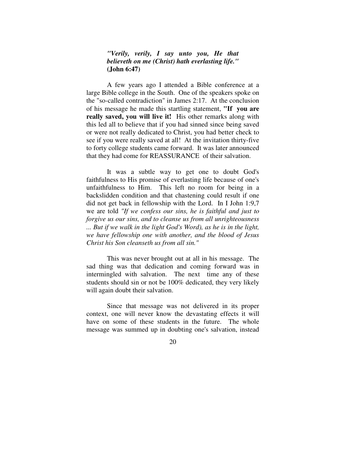#### *"Verily, verily, I say unto you, He that believeth on me (Christ) hath everlasting life."*  **(John 6:47)**

 A few years ago I attended a Bible conference at a large Bible college in the South. One of the speakers spoke on the "so-called contradiction" in James 2:17. At the conclusion of his message he made this startling statement, **"If you are really saved, you will live it!** His other remarks along with this led all to believe that if you had sinned since being saved or were not really dedicated to Christ, you had better check to see if you were really saved at all! At the invitation thirty-five to forty college students came forward. It was later announced that they had come for REASSURANCE of their salvation.

 It was a subtle way to get one to doubt God's faithfulness to His promise of everlasting life because of one's unfaithfulness to Him. This left no room for being in a backslidden condition and that chastening could result if one did not get back in fellowship with the Lord. In I John 1:9,7 we are told *"If we confess our sins, he is faithful and just to forgive us our sins, and to cleanse us from all unrighteousness ... But if we walk in the light God's Word), as he is in the light, we have fellowship one with another, and the blood of Jesus Christ his Son cleanseth us from all sin."* 

 This was never brought out at all in his message. The sad thing was that dedication and coming forward was in intermingled with salvation. The next time any of these students should sin or not be 100% dedicated, they very likely will again doubt their salvation.

 Since that message was not delivered in its proper context, one will never know the devastating effects it will have on some of these students in the future. The whole message was summed up in doubting one's salvation, instead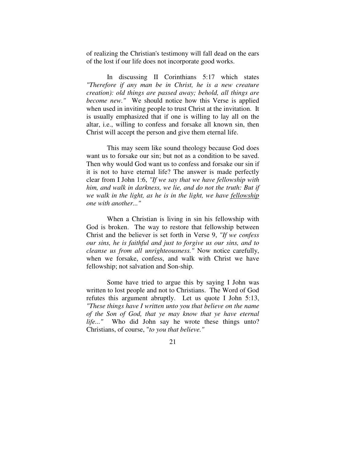of realizing the Christian's testimony will fall dead on the ears of the lost if our life does not incorporate good works.

 In discussing II Corinthians 5:17 which states *"Therefore if any man be in Christ, he is a new creature creation): old things are passed away; behold, all things are become new."* We should notice how this Verse is applied when used in inviting people to trust Christ at the invitation. It is usually emphasized that if one is willing to lay all on the altar, i.e., willing to confess and forsake all known sin, then Christ will accept the person and give them eternal life.

 This may seem like sound theology because God does want us to forsake our sin; but not as a condition to be saved. Then why would God want us to confess and forsake our sin if it is not to have eternal life? The answer is made perfectly clear from I John 1:6, *"If we say that we have fellowship with him, and walk in darkness, we lie, and do not the truth: But if we walk in the light, as he is in the light, we have fellowship one with another..."* 

 When a Christian is living in sin his fellowship with God is broken. The way to restore that fellowship between Christ and the believer is set forth in Verse 9, *"If we confess our sins, he is faithful and just to forgive us our sins, and to cleanse us from all unrighteousness."* Now notice carefully, when we forsake, confess, and walk with Christ we have fellowship; not salvation and Son-ship.

 Some have tried to argue this by saying I John was written to lost people and not to Christians. The Word of God refutes this argument abruptly. Let us quote I John 5:13, *"These things have I written unto you that believe on the name of the Son of God, that ye may know that ye have eternal life..."* Who did John say he wrote these things unto? Christians, of course, "*to you that believe."*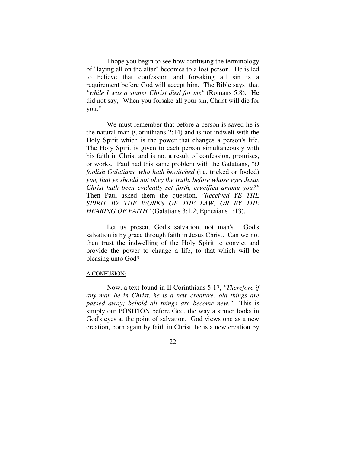I hope you begin to see how confusing the terminology of "laying all on the altar" becomes to a lost person. He is led to believe that confession and forsaking all sin is a requirement before God will accept him. The Bible says that *"while I was a sinner Christ died for me"* (Romans 5:8). He did not say, "When you forsake all your sin, Christ will die for you."

 We must remember that before a person is saved he is the natural man (Corinthians 2:14) and is not indwelt with the Holy Spirit which is the power that changes a person's life. The Holy Spirit is given to each person simultaneously with his faith in Christ and is not a result of confession, promises, or works. Paul had this same problem with the Galatians, *"O foolish Galatians, who hath bewitched* (i.e. tricked or fooled) *you, that ye should not obey the truth, before whose eyes Jesus Christ hath been evidently set forth, crucified among you?"* Then Paul asked them the question, *"Received YE THE SPIRIT BY THE WORKS OF THE LAW, OR BY THE HEARING OF FAITH"* (Galatians 3:1,2; Ephesians 1:13).

 Let us present God's salvation, not man's. God's salvation is by grace through faith in Jesus Christ. Can we not then trust the indwelling of the Holy Spirit to convict and provide the power to change a life, to that which will be pleasing unto God?

#### A CONFUSION:

Now, a text found in II Corinthians 5:17, *"Therefore if any man be in Christ, he is a new creature: old things are passed away; behold all things are become new."* This is simply our POSITION before God, the way a sinner looks in God's eyes at the point of salvation. God views one as a new creation, born again by faith in Christ, he is a new creation by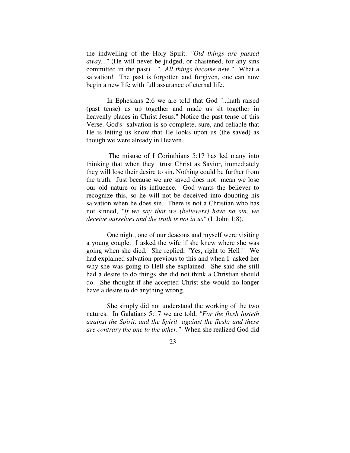the indwelling of the Holy Spirit. *"Old things are passed away..."* (He will never be judged, or chastened, for any sins committed in the past). *"...All things become new."* What a salvation! The past is forgotten and forgiven, one can now begin a new life with full assurance of eternal life.

 In Ephesians 2:6 we are told that God "...hath raised (past tense) us up together and made us sit together in heavenly places in Christ Jesus." Notice the past tense of this Verse. God's salvation is so complete, sure, and reliable that He is letting us know that He looks upon us (the saved) as though we were already in Heaven.

 The misuse of I Corinthians 5:17 has led many into thinking that when they trust Christ as Savior, immediately they will lose their desire to sin. Nothing could be further from the truth. Just because we are saved does not mean we lose our old nature or its influence. God wants the believer to recognize this, so he will not be deceived into doubting his salvation when he does sin. There is not a Christian who has not sinned, *"If we say that we (believers) have no sin, we deceive ourselves and the truth is not in us"* (I John 1:8).

 One night, one of our deacons and myself were visiting a young couple. I asked the wife if she knew where she was going when she died. She replied, "Yes, right to Hell!" We had explained salvation previous to this and when I asked her why she was going to Hell she explained. She said she still had a desire to do things she did not think a Christian should do. She thought if she accepted Christ she would no longer have a desire to do anything wrong.

 She simply did not understand the working of the two natures. In Galatians 5:17 we are told, *"For the flesh lusteth against the Spirit, and the Spirit against the flesh: and these are contrary the one to the other."* When she realized God did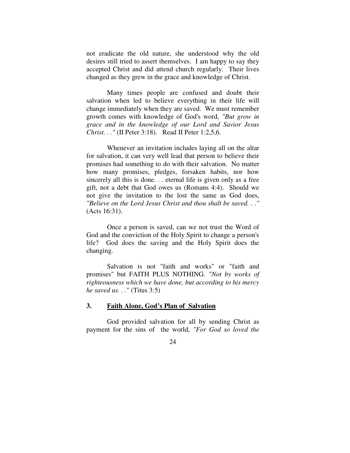not eradicate the old nature, she understood why the old desires still tried to assert themselves. I am happy to say they accepted Christ and did attend church regularly. Their lives changed as they grew in the grace and knowledge of Christ.

 Many times people are confused and doubt their salvation when led to believe everything in their life will change immediately when they are saved. We must remember growth comes with knowledge of God's word, *"But grow in grace and in the knowledge of our Lord and Savior Jesus Christ. . ."* (II Peter 3:18). Read II Peter 1:2,5,6.

 Whenever an invitation includes laying all on the altar for salvation, it can very well lead that person to believe their promises had something to do with their salvation. No matter how many promises, pledges, forsaken habits, nor how sincerely all this is done. . . eternal life is given only as a free gift, not a debt that God owes us (Romans 4:4). Should we not give the invitation to the lost the same as God does, *"Believe on the Lord Jesus Christ and thou shalt be saved. . ."* (Acts 16:31).

 Once a person is saved, can we not trust the Word of God and the conviction of the Holy Spirit to change a person's life? God does the saving and the Holy Spirit does the changing.

 Salvation is not "faith and works" or "faith and promises" but FAITH PLUS NOTHING. *"Not by works of righteousness which we have done, but according to his mercy he saved us. . .*" (Titus 3:5)

#### **3. Faith Alone, God's Plan of Salvation**

 God provided salvation for all by sending Christ as payment for the sins of the world, *"For God so loved the*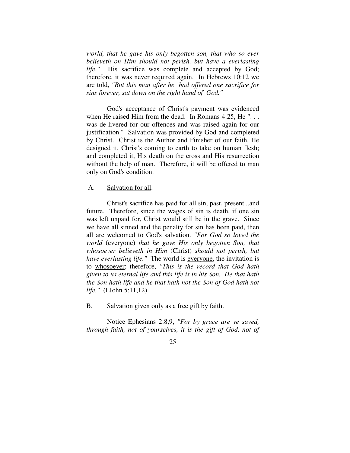*world, that he gave his only begotten son, that who so ever believeth on Him should not perish, but have a everlasting life."* His sacrifice was complete and accepted by God; therefore, it was never required again. In Hebrews 10:12 we are told, *"But this man after he had offered one sacrifice for sins forever, sat down on the right hand of God."* 

 God's acceptance of Christ's payment was evidenced when He raised Him from the dead. In Romans 4:25, He "... was de-livered for our offences and was raised again for our justification." Salvation was provided by God and completed by Christ. Christ is the Author and Finisher of our faith, He designed it, Christ's coming to earth to take on human flesh; and completed it, His death on the cross and His resurrection without the help of man. Therefore, it will be offered to man only on God's condition.

#### A. Salvation for all.

 Christ's sacrifice has paid for all sin, past, present...and future. Therefore, since the wages of sin is death, if one sin was left unpaid for, Christ would still be in the grave. Since we have all sinned and the penalty for sin has been paid, then all are welcomed to God's salvation. *"For God so loved the world* (everyone) *that he gave His only begotten Son, that whosoever believeth in Him* (Christ) *should not perish, but have everlasting life."* The world is everyone, the invitation is to whosoever; therefore, *"This is the record that God hath given to us eternal life and this life is in his Son. He that hath the Son hath life and he that hath not the Son of God hath not life."* (I John 5:11,12).

B. Salvation given only as a free gift by faith.

 Notice Ephesians 2:8,9, *"For by grace are ye saved, through faith, not of yourselves, it is the gift of God, not of*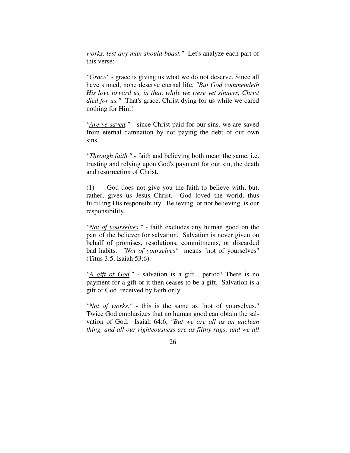*works, lest any man should boast."* Let's analyze each part of this verse:

*"Grace"* - grace is giving us what we do not deserve. Since all have sinned, none deserve eternal life, *"But God commendeth His love toward us, in that, while we were yet sinners, Christ died for us."* That's grace, Christ dying for us while we cared nothing for Him!

*"Are ye saved."* - since Christ paid for our sins, we are saved from eternal damnation by not paying the debt of our own sins.

*"Through faith."* - faith and believing both mean the same, i.e. trusting and relying upon God's payment for our sin, the death and resurrection of Christ.

(1) God does not give you the faith to believe with; but, rather, gives us Jesus Christ. God loved the world, thus fulfilling His responsibility. Believing, or not believing, is our responsibility.

*"Not of yourselves."* - faith excludes any human good on the part of the believer for salvation. Salvation is never given on behalf of promises, resolutions, commitments, or discarded bad habits. *"Not of yourselves"* means "not of yourselves" (Titus 3:5, Isaiah 53:6).

*"A gift of God."* - salvation is a gift... period! There is no payment for a gift or it then ceases to be a gift. Salvation is a gift of God received by faith only.

*"Not of works."* - this is the same as "not of yourselves." Twice God emphasizes that no human good can obtain the salvation of God. Isaiah 64:6, *"But we are all as an unclean thing, and all our righteousness are as filthy rags; and we all*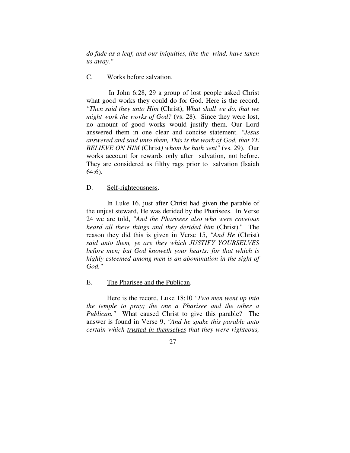*do fade as a leaf, and our iniquities, like the wind, have taken us away."* 

#### C. Works before salvation.

 In John 6:28, 29 a group of lost people asked Christ what good works they could do for God. Here is the record, *"Then said they unto Him* (Christ), *What shall we do, that we might work the works of God?* (vs. 28). Since they were lost, no amount of good works would justify them. Our Lord answered them in one clear and concise statement. *"Jesus answered and said unto them, This is the work of God, that YE BELIEVE ON HIM* (Christ*) whom he hath sent"* (vs. 29). Our works account for rewards only after salvation, not before. They are considered as filthy rags prior to salvation (Isaiah 64:6).

#### D. Self-righteousness.

 In Luke 16, just after Christ had given the parable of the unjust steward, He was derided by the Pharisees. In Verse 24 we are told, *"And the Pharisees also who were covetous heard all these things and they derided him* (Christ)." The reason they did this is given in Verse 15, *"And He* (Christ) *said unto them, ye are they which JUSTIFY YOURSELVES before men; but God knoweth your hearts: for that which is highly esteemed among men is an abomination in the sight of God."* 

E. The Pharisee and the Publican.

 Here is the record, Luke 18:10 *"Two men went up into the temple to pray; the one a Pharisee and the other a Publican."* What caused Christ to give this parable? The answer is found in Verse 9, *"And he spake this parable unto certain which trusted in themselves that they were righteous,*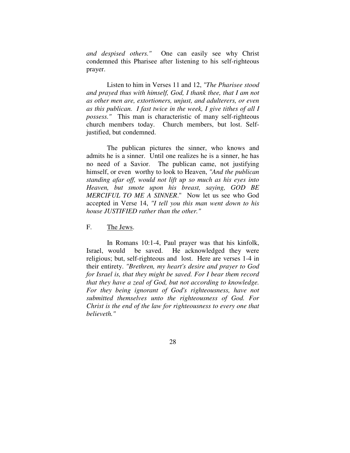*and despised others."* One can easily see why Christ condemned this Pharisee after listening to his self-righteous prayer.

 Listen to him in Verses 11 and 12, *"The Pharisee stood and prayed thus with himself, God, I thank thee, that I am not as other men are, extortioners, unjust, and adulterers, or even as this publican. I fast twice in the week, I give tithes of all I possess."* This man is characteristic of many self-righteous church members today. Church members, but lost. Selfjustified, but condemned.

 The publican pictures the sinner, who knows and admits he is a sinner. Until one realizes he is a sinner, he has no need of a Savior. The publican came, not justifying himself, or even worthy to look to Heaven, *"And the publican standing afar off, would not lift up so much as his eyes into Heaven, but smote upon his breast, saying, GOD BE MERCIFUL TO ME A SINNER*." Now let us see who God accepted in Verse 14, *"I tell you this man went down to his house JUSTIFIED rather than the other."*

#### F. The Jews.

 In Romans 10:1-4, Paul prayer was that his kinfolk, Israel, would be saved. He acknowledged they were religious; but, self-righteous and lost. Here are verses 1-4 in their entirety. *"Brethren, my heart's desire and prayer to God for Israel is, that they might be saved. For I bear them record that they have a zeal of God, but not according to knowledge. For they being ignorant of God's righteousness, have not submitted themselves unto the righteousness of God. For Christ is the end of the law for righteousness to every one that believeth."*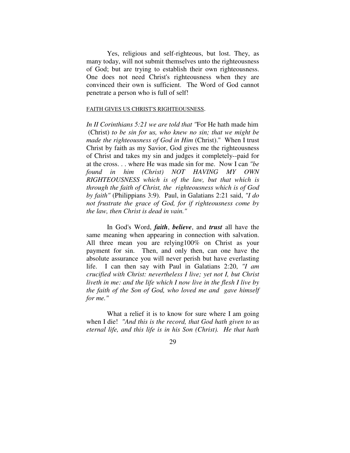Yes, religious and self-righteous, but lost. They, as many today, will not submit themselves unto the righteousness of God; but are trying to establish their own righteousness. One does not need Christ's righteousness when they are convinced their own is sufficient. The Word of God cannot penetrate a person who is full of self!

#### FAITH GIVES US CHRIST'S RIGHTEOUSNESS.

*In II Corinthians 5:21 we are told that "*For He hath made him (Christ) *to be sin for us, who knew no sin; that we might be made the righteousness of God in Him* (Christ)." When I trust Christ by faith as my Savior, God gives me the righteousness of Christ and takes my sin and judges it completely--paid for at the cross. . . where He was made sin for me. Now I can *"be found in him (Christ) NOT HAVING MY OWN RIGHTEOUSNESS which is of the law, but that which is through the faith of Christ, the righteousness which is of God by faith"* (Philippians 3:9). Paul, in Galatians 2:21 said, *"I do not frustrate the grace of God, for if righteousness come by the law, then Christ is dead in vain."*

 In God's Word, *faith*, *believe*, and *trust* all have the same meaning when appearing in connection with salvation. All three mean you are relying100% on Christ as your payment for sin. Then, and only then, can one have the absolute assurance you will never perish but have everlasting life. I can then say with Paul in Galatians 2:20, *"I am crucified with Christ: nevertheless I live; yet not I, but Christ liveth in me: and the life which I now live in the flesh I live by the faith of the Son of God, who loved me and gave himself for me."*

What a relief it is to know for sure where I am going when I die! *"And this is the record, that God hath given to us eternal life, and this life is in his Son (Christ). He that hath*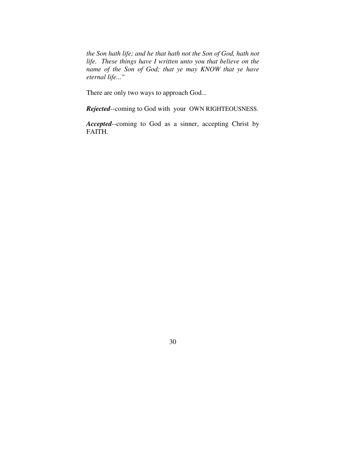*the Son hath life; and he that hath not the Son of God, hath not life. These things have I written unto you that believe on the name of the Son of God; that ye may KNOW that ye have eternal life..."*

There are only two ways to approach God...

*Rejected*--coming to God with your OWN RIGHTEOUSNESS.

*Accepted*--coming to God as a sinner, accepting Christ by FAITH.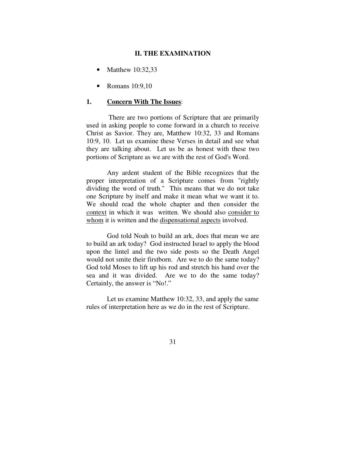#### **II. THE EXAMINATION**

- Matthew 10:32,33
- Romans 10:9,10

#### **1. Concern With The Issues**:

 There are two portions of Scripture that are primarily used in asking people to come forward in a church to receive Christ as Savior. They are, Matthew 10:32, 33 and Romans 10:9, 10. Let us examine these Verses in detail and see what they are talking about. Let us be as honest with these two portions of Scripture as we are with the rest of God's Word.

 Any ardent student of the Bible recognizes that the proper interpretation of a Scripture comes from "rightly dividing the word of truth." This means that we do not take one Scripture by itself and make it mean what we want it to. We should read the whole chapter and then consider the context in which it was written. We should also consider to whom it is written and the dispensational aspects involved.

 God told Noah to build an ark, does that mean we are to build an ark today? God instructed Israel to apply the blood upon the lintel and the two side posts so the Death Angel would not smite their firstborn. Are we to do the same today? God told Moses to lift up his rod and stretch his hand over the sea and it was divided. Are we to do the same today? Certainly, the answer is "No!."

 Let us examine Matthew 10:32, 33, and apply the same rules of interpretation here as we do in the rest of Scripture.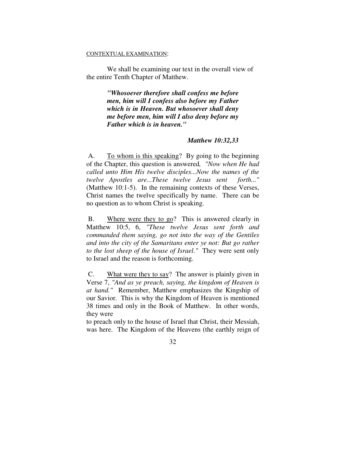#### CONTEXTUAL EXAMINATION:

 We shall be examining our text in the overall view of the entire Tenth Chapter of Matthew.

> *"Whosoever therefore shall confess me before men, him will I confess also before my Father which is in Heaven. But whosoever shall deny me before men, him will I also deny before my Father which is in heaven."*

#### *Matthew 10:32,33*

 A. To whom is this speaking? By going to the beginning of the Chapter, this question is answered*, "Now when He had called unto Him His twelve disciples...Now the names of the twelve Apostles are...These twelve Jesus sent forth..."* (Matthew 10:1-5). In the remaining contexts of these Verses, Christ names the twelve specifically by name. There can be no question as to whom Christ is speaking.

B. Where were they to  $\overline{g}$ ? This is answered clearly in Matthew 10:5, 6, *"These twelve Jesus sent forth and commanded them saying, go not into the way of the Gentiles and into the city of the Samaritans enter ye not: But go rather to the lost sheep of the house of Israel."* They were sent only to Israel and the reason is forthcoming.

 C. What were they to say? The answer is plainly given in Verse 7, *"And as ye preach, saying, the kingdom of Heaven is at hand."* Remember, Matthew emphasizes the Kingship of our Savior. This is why the Kingdom of Heaven is mentioned 38 times and only in the Book of Matthew. In other words, they were

to preach only to the house of Israel that Christ, their Messiah, was here. The Kingdom of the Heavens (the earthly reign of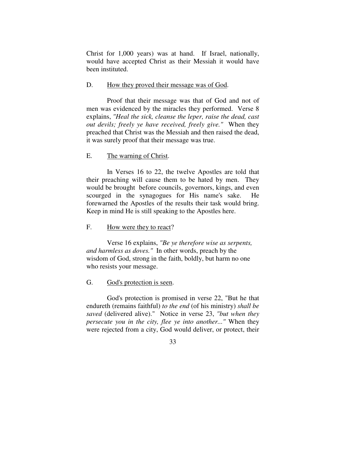Christ for 1,000 years) was at hand. If Israel, nationally, would have accepted Christ as their Messiah it would have been instituted.

#### D. How they proved their message was of God.

 Proof that their message was that of God and not of men was evidenced by the miracles they performed. Verse 8 explains, *"Heal the sick, cleanse the leper, raise the dead, cast out devils; freely ye have received, freely give."* When they preached that Christ was the Messiah and then raised the dead, it was surely proof that their message was true.

#### E. The warning of Christ.

 In Verses 16 to 22, the twelve Apostles are told that their preaching will cause them to be hated by men. They would be brought before councils, governors, kings, and even scourged in the synagogues for His name's sake. He forewarned the Apostles of the results their task would bring. Keep in mind He is still speaking to the Apostles here.

### F. How were they to react?

 Verse 16 explains, *"Be ye therefore wise as serpents, and harmless as doves."* In other words, preach by the wisdom of God, strong in the faith, boldly, but harm no one who resists your message.

### G. God's protection is seen.

 God's protection is promised in verse 22, "But he that endureth (remains faithful) *to the end* (of his ministry) *shall be saved* (delivered alive)." Notice in verse 23, *"but when they persecute you in the city, flee ye into another..."* When they were rejected from a city, God would deliver, or protect, their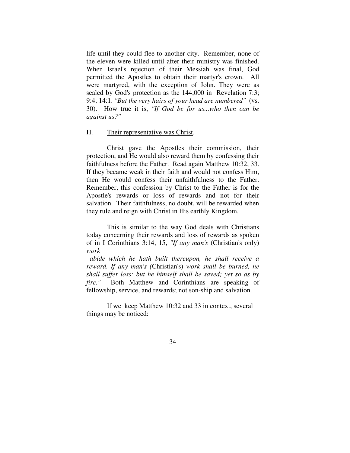life until they could flee to another city. Remember, none of the eleven were killed until after their ministry was finished. When Israel's rejection of their Messiah was final, God permitted the Apostles to obtain their martyr's crown. All were martyred, with the exception of John. They were as sealed by God's protection as the 144,000 in Revelation 7:3; 9:4; 14:1. *"But the very hairs of your head are numbered"* (vs. 30). How true it is, *"If God be for us...who then can be against us?"* 

### H. Their representative was Christ.

 Christ gave the Apostles their commission, their protection, and He would also reward them by confessing their faithfulness before the Father. Read again Matthew 10:32, 33. If they became weak in their faith and would not confess Him, then He would confess their unfaithfulness to the Father. Remember, this confession by Christ to the Father is for the Apostle's rewards or loss of rewards and not for their salvation. Their faithfulness, no doubt, will be rewarded when they rule and reign with Christ in His earthly Kingdom.

 This is similar to the way God deals with Christians today concerning their rewards and loss of rewards as spoken of in I Corinthians 3:14, 15, *"If any man's* (Christian's only) *work* 

 *abide which he hath built thereupon, he shall receive a reward. If any man's (*Christian's) *work shall be burned, he shall suffer loss: but he himself shall be saved; yet so as by fire."* Both Matthew and Corinthians are speaking of fellowship, service, and rewards; not son-ship and salvation.

 If we keep Matthew 10:32 and 33 in context, several things may be noticed: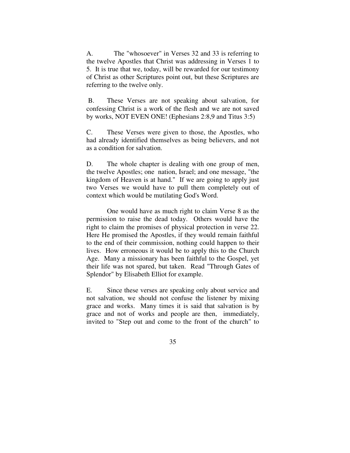A. The "whosoever" in Verses 32 and 33 is referring to the twelve Apostles that Christ was addressing in Verses 1 to 5. It is true that we, today, will be rewarded for our testimony of Christ as other Scriptures point out, but these Scriptures are referring to the twelve only.

 B. These Verses are not speaking about salvation, for confessing Christ is a work of the flesh and we are not saved by works, NOT EVEN ONE! (Ephesians 2:8,9 and Titus 3:5)

C. These Verses were given to those, the Apostles, who had already identified themselves as being believers, and not as a condition for salvation.

D. The whole chapter is dealing with one group of men, the twelve Apostles; one nation, Israel; and one message, "the kingdom of Heaven is at hand." If we are going to apply just two Verses we would have to pull them completely out of context which would be mutilating God's Word.

 One would have as much right to claim Verse 8 as the permission to raise the dead today. Others would have the right to claim the promises of physical protection in verse 22. Here He promised the Apostles, if they would remain faithful to the end of their commission, nothing could happen to their lives. How erroneous it would be to apply this to the Church Age. Many a missionary has been faithful to the Gospel, yet their life was not spared, but taken. Read "Through Gates of Splendor" by Elisabeth Elliot for example.

E. Since these verses are speaking only about service and not salvation, we should not confuse the listener by mixing grace and works. Many times it is said that salvation is by grace and not of works and people are then, immediately, invited to "Step out and come to the front of the church" to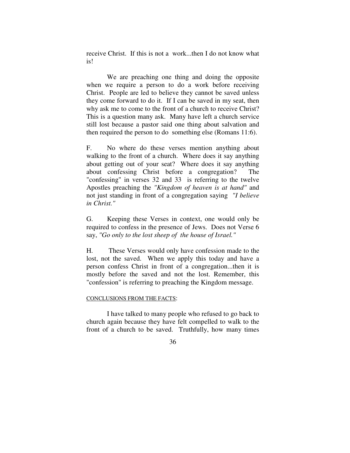receive Christ. If this is not a work...then I do not know what is!

 We are preaching one thing and doing the opposite when we require a person to do a work before receiving Christ. People are led to believe they cannot be saved unless they come forward to do it. If I can be saved in my seat, then why ask me to come to the front of a church to receive Christ? This is a question many ask. Many have left a church service still lost because a pastor said one thing about salvation and then required the person to do something else (Romans 11:6).

F. No where do these verses mention anything about walking to the front of a church. Where does it say anything about getting out of your seat? Where does it say anything about confessing Christ before a congregation? The "confessing" in verses 32 and 33 is referring to the twelve Apostles preaching the *"Kingdom of heaven is at hand"* and not just standing in front of a congregation saying *"I believe in Christ."*

G. Keeping these Verses in context, one would only be required to confess in the presence of Jews. Does not Verse 6 say, *"Go only to the lost sheep of the house of Israel."*

H. These Verses would only have confession made to the lost, not the saved. When we apply this today and have a person confess Christ in front of a congregation...then it is mostly before the saved and not the lost. Remember, this "confession" is referring to preaching the Kingdom message.

#### CONCLUSIONS FROM THE FACTS:

 I have talked to many people who refused to go back to church again because they have felt compelled to walk to the front of a church to be saved. Truthfully, how many times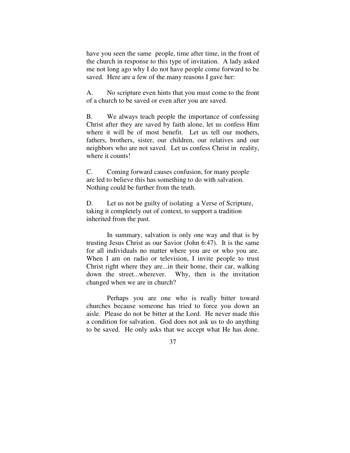have you seen the same people, time after time, in the front of the church in response to this type of invitation. A lady asked me not long ago why I do not have people come forward to be saved. Here are a few of the many reasons I gave her:

A. No scripture even hints that you must come to the front of a church to be saved or even after you are saved.

B. We always teach people the importance of confessing Christ after they are saved by faith alone, let us confess Him where it will be of most benefit. Let us tell our mothers, fathers, brothers, sister, our children, our relatives and our neighbors who are not saved. Let us confess Christ in reality, where it counts!

C. Coming forward causes confusion, for many people are led to believe this has something to do with salvation. Nothing could be further from the truth.

D. Let us not be guilty of isolating a Verse of Scripture, taking it completely out of context, to support a tradition inherited from the past.

 In summary, salvation is only one way and that is by trusting Jesus Christ as our Savior (John 6:47). It is the same for all individuals no matter where you are or who you are. When I am on radio or television, I invite people to trust Christ right where they are...in their home, their car, walking down the street...wherever. Why, then is the invitation changed when we are in church?

 Perhaps you are one who is really bitter toward churches because someone has tried to force you down an aisle. Please do not be bitter at the Lord. He never made this a condition for salvation. God does not ask us to do anything to be saved. He only asks that we accept what He has done.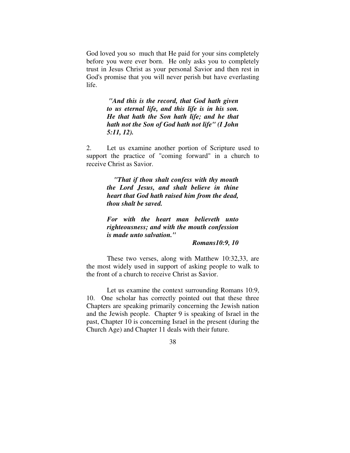God loved you so much that He paid for your sins completely before you were ever born. He only asks you to completely trust in Jesus Christ as your personal Savior and then rest in God's promise that you will never perish but have everlasting life.

> *"And this is the record, that God hath given to us eternal life, and this life is in his son. He that hath the Son hath life; and he that hath not the Son of God hath not life" (I John 5:11, 12).*

2. Let us examine another portion of Scripture used to support the practice of "coming forward" in a church to receive Christ as Savior.

> *"That if thou shalt confess with thy mouth the Lord Jesus, and shalt believe in thine heart that God hath raised him from the dead, thou shalt be saved.*

> *For with the heart man believeth unto righteousness; and with the mouth confession is made unto salvation."*

> > *Romans10:9, 10*

 These two verses, along with Matthew 10:32,33, are the most widely used in support of asking people to walk to the front of a church to receive Christ as Savior.

 Let us examine the context surrounding Romans 10:9, 10. One scholar has correctly pointed out that these three Chapters are speaking primarily concerning the Jewish nation and the Jewish people. Chapter 9 is speaking of Israel in the past, Chapter 10 is concerning Israel in the present (during the Church Age) and Chapter 11 deals with their future.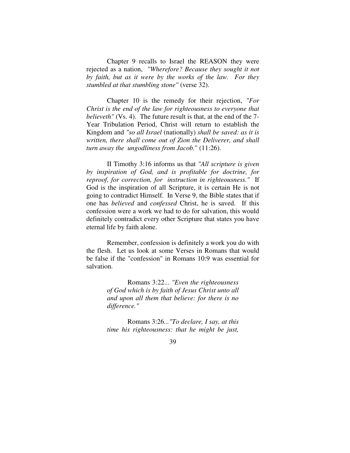Chapter 9 recalls to Israel the REASON they were rejected as a nation, *"Wherefore? Because they sought it not by faith, but as it were by the works of the law. For they stumbled at that stumbling stone"* (verse 32).

 Chapter 10 is the remedy for their rejection, *"For Christ is the end of the law for righteousness to everyone that believeth"* (Vs. 4). The future result is that, at the end of the 7- Year Tribulation Period, Christ will return to establish the Kingdom and *"so all Israel* (nationally) *shall be saved: as it is written, there shall come out of Zion the Deliverer, and shall turn away the ungodliness from Jacob.*" (11:26).

 II Timothy 3:16 informs us that *"All scripture is given by inspiration of God, and is profitable for doctrine, for reproof, for correction, for instruction in righteousness."* If God is the inspiration of all Scripture, it is certain He is not going to contradict Himself. In Verse 9, the Bible states that if one has *believed* and *confessed* Christ, he is saved. If this confession were a work we had to do for salvation, this would definitely contradict every other Scripture that states you have eternal life by faith alone.

 Remember, confession is definitely a work you do with the flesh. Let us look at some Verses in Romans that would be false if the "confession" in Romans 10:9 was essential for salvation.

> Romans 3:22... *"Even the righteousness of God which is by faith of Jesus Christ unto all and upon all them that believe: for there is no difference."*

> Romans 3:26*..."To declare, I say, at this time his righteousness: that he might be just,*

 <sup>39</sup>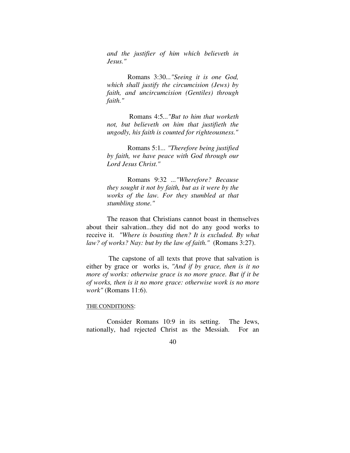*and the justifier of him which believeth in Jesus."* 

 Romans 3:30*..."Seeing it is one God, which shall justify the circumcision (Jews) by faith, and uncircumcision (Gentiles) through faith."* 

Romans 4:5*..."But to him that worketh not, but believeth on him that justifieth the ungodly, his faith is counted for righteousness."* 

 Romans 5:1*... "Therefore being justified by faith, we have peace with God through our Lord Jesus Christ."* 

Romans 9:32 *..."Wherefore? Because they sought it not by faith, but as it were by the works of the law. For they stumbled at that stumbling stone."* 

 The reason that Christians cannot boast in themselves about their salvation...they did not do any good works to receive it. *"Where is boasting then? It is excluded. By what law? of works? Nay: but by the law of faith."* (Romans 3:27).

 The capstone of all texts that prove that salvation is either by grace or works is, *"And if by grace, then is it no more of works: otherwise grace is no more grace. But if it be of works, then is it no more grace: otherwise work is no more work"* (Romans 11:6).

#### THE CONDITIONS:

 Consider Romans 10:9 in its setting. The Jews, nationally, had rejected Christ as the Messiah. For an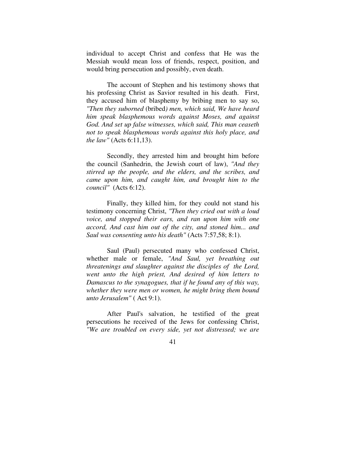individual to accept Christ and confess that He was the Messiah would mean loss of friends, respect, position, and would bring persecution and possibly, even death.

 The account of Stephen and his testimony shows that his professing Christ as Savior resulted in his death. First, they accused him of blasphemy by bribing men to say so, *"Then they suborned* (bribed*) men, which said, We have heard him speak blasphemous words against Moses, and against God. And set up false witnesses, which said, This man ceaseth not to speak blasphemous words against this holy place, and the law"* (Acts 6:11,13).

 Secondly, they arrested him and brought him before the council (Sanhedrin, the Jewish court of law), *"And they stirred up the people, and the elders, and the scribes, and came upon him, and caught him, and brought him to the council"* (Acts 6:12).

 Finally, they killed him, for they could not stand his testimony concerning Christ, *"Then they cried out with a loud voice, and stopped their ears, and ran upon him with one accord, And cast him out of the city, and stoned him... and Saul was consenting unto his death"* (Acts 7:57,58; 8:1).

 Saul (Paul) persecuted many who confessed Christ, whether male or female, *"And Saul, yet breathing out threatenings and slaughter against the disciples of the Lord, went unto the high priest, And desired of him letters to Damascus to the synagogues, that if he found any of this way, whether they were men or women, he might bring them bound unto Jerusalem"* ( Act 9:1).

 After Paul's salvation, he testified of the great persecutions he received of the Jews for confessing Christ, *"We are troubled on every side, yet not distressed; we are*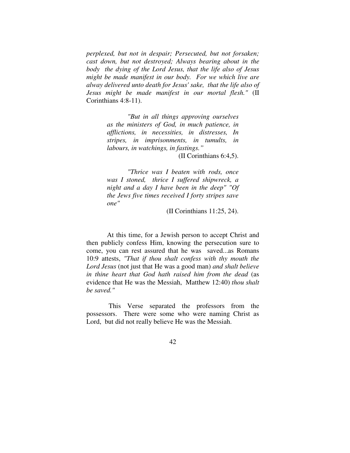*perplexed, but not in despair; Persecuted, but not forsaken; cast down, but not destroyed; Always bearing about in the body the dying of the Lord Jesus, that the life also of Jesus might be made manifest in our body. For we which live are alway delivered unto death for Jesus' sake, that the life also of Jesus might be made manifest in our mortal flesh."* (II Corinthians 4:8-11).

> *"But in all things approving ourselves as the ministers of God, in much patience, in afflictions, in necessities, in distresses, In stripes, in imprisonments, in tumults, in labours, in watchings, in fastings."*

> > (II Corinthians 6:4,5).

*"Thrice was I beaten with rods, once was I stoned, thrice I suffered shipwreck, a night and a day I have been in the deep" "Of the Jews five times received I forty stripes save one"* 

(II Corinthians 11:25, 24).

 At this time, for a Jewish person to accept Christ and then publicly confess Him, knowing the persecution sure to come, you can rest assured that he was saved...as Romans 10:9 attests, *"That if thou shalt confess with thy mouth the Lord Jesus* (not just that He was a good man) *and shalt believe in thine heart that God hath raised him from the dead* (as evidence that He was the Messiah, Matthew 12:40) *thou shalt be saved."*

 This Verse separated the professors from the possessors. There were some who were naming Christ as Lord, but did not really believe He was the Messiah.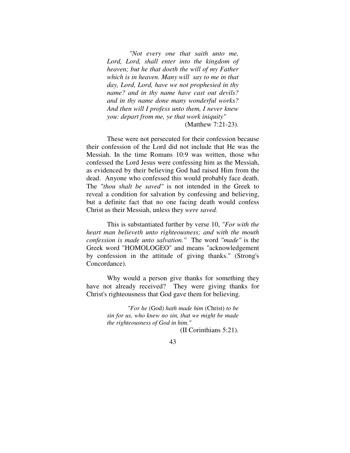*"Not every one that saith unto me, Lord, Lord, shall enter into the kingdom of heaven; but he that doeth the will of my Father which is in heaven. Many will say to me in that day, Lord, Lord, have we not prophesied in thy name? and in thy name have cast out devils? and in thy name done many wonderful works? And then will I profess unto them, I never knew you: depart from me, ye that work iniquity"*  (Matthew 7:21-23).

 These were not persecuted for their confession because their confession of the Lord did not include that He was the Messiah. In the time Romans 10:9 was written, those who confessed the Lord Jesus were confessing him as the Messiah, as evidenced by their believing God had raised Him from the dead. Anyone who confessed this would probably face death. The *"thou shalt be saved"* is not intended in the Greek to reveal a condition for salvation by confessing and believing, but a definite fact that no one facing death would confess Christ as their Messiah, unless they *were saved.* 

 This is substantiated further by verse 10, *"For with the heart man believeth unto righteousness; and with the mouth confession is made unto salvation."* The word *"made"* is the Greek word "HOMOLOGEO" and means "acknowledgement by confession in the attitude of giving thanks." (Strong's Concordance).

 Why would a person give thanks for something they have not already received? They were giving thanks for Christ's righteousness that God gave them for believing.

> *"For he* (God) *hath made him* (Christ) *to be sin for us, who knew no sin, that we might be made the righteousness of God in him."*

(II Corinthians 5:21).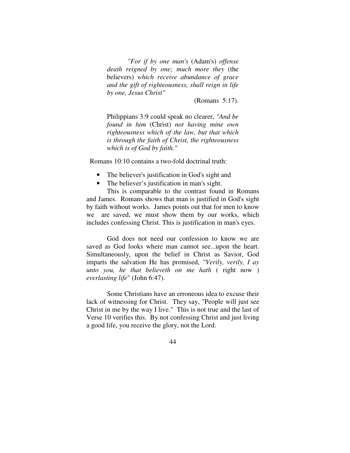*"For if by one man's* (Adam's) *offense death reigned by one; much more they* (the believers) *which receive abundance of grace and the gift of righteousness, shall reign in life by one, Jesus Christ"*

(Romans 5:17).

Philippians 3:9 could speak no clearer, *"And be found in him* (Christ) *not having mine own righteousness which of the law, but that which is through the faith of Christ, the righteousness which is of God by faith."*

Romans 10:10 contains a two-fold doctrinal truth:

- The believer's justification in God's sight and
- The believer's justification in man's sight.

 This is comparable to the contrast found in Romans and James. Romans shows that man is justified in God's sight by faith without works. James points out that for men to know we are saved, we must show them by our works, which includes confessing Christ. This is justification in man's eyes.

 God does not need our confession to know we are saved as God looks where man cannot see...upon the heart. Simultaneously, upon the belief in Christ as Savior, God imparts the salvation He has promised, *"Verily, verily, I ay unto you, he that believeth on me hath* ( right now ) *everlasting life*" (John 6:47).

 Some Christians have an erroneous idea to excuse their lack of witnessing for Christ. They say, "People will just see Christ in me by the way I live." This is not true and the last of Verse 10 verifies this. By not confessing Christ and just living a good life, you receive the glory, not the Lord.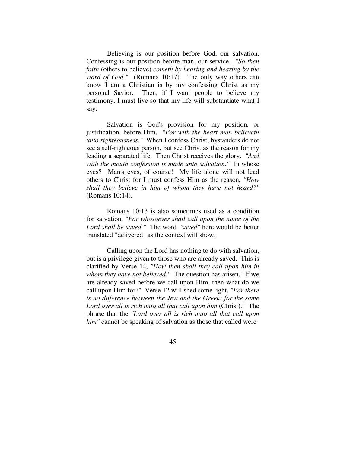Believing is our position before God, our salvation. Confessing is our position before man, our service. *"So then faith* (others to believe) *cometh by hearing and hearing by the word of God."* (Romans 10:17). The only way others can know I am a Christian is by my confessing Christ as my personal Savior. Then, if I want people to believe my testimony, I must live so that my life will substantiate what I say.

 Salvation is God's provision for my position, or justification, before Him, *"For with the heart man believeth unto righteousness."* When I confess Christ, bystanders do not see a self-righteous person, but see Christ as the reason for my leading a separated life. Then Christ receives the glory. *"And with the mouth confession is made unto salvation."* In whose eyes? Man's eyes, of course! My life alone will not lead others to Christ for I must confess Him as the reason*, "How shall they believe in him of whom they have not heard?"*  (Romans 10:14).

 Romans 10:13 is also sometimes used as a condition for salvation, *"For whosoever shall call upon the name of the Lord shall be saved."* The word *"saved"* here would be better translated "delivered" as the context will show.

 Calling upon the Lord has nothing to do with salvation, but is a privilege given to those who are already saved. This is clarified by Verse 14, *"How then shall they call upon him in whom they have not believed."* The question has arisen, "If we are already saved before we call upon Him, then what do we call upon Him for?" Verse 12 will shed some light, *"For there is no difference between the Jew and the Greek: for the same*  Lord over all is rich unto all that call upon him (Christ)." The phrase that the *"Lord over all is rich unto all that call upon him"* cannot be speaking of salvation as those that called were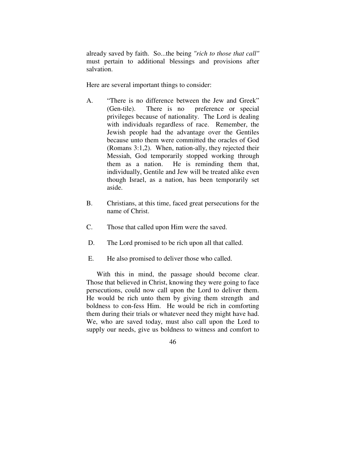already saved by faith. So...the being *"rich to those that call"* must pertain to additional blessings and provisions after salvation.

Here are several important things to consider:

- A. "There is no difference between the Jew and Greek" (Gen-tile). There is no preference or special privileges because of nationality. The Lord is dealing with individuals regardless of race. Remember, the Jewish people had the advantage over the Gentiles because unto them were committed the oracles of God (Romans 3:1,2). When, nation-ally, they rejected their Messiah, God temporarily stopped working through them as a nation. He is reminding them that, individually, Gentile and Jew will be treated alike even though Israel, as a nation, has been temporarily set aside.
- B. Christians, at this time, faced great persecutions for the name of Christ.
- C. Those that called upon Him were the saved.
- D. The Lord promised to be rich upon all that called.
- E. He also promised to deliver those who called.

 With this in mind, the passage should become clear. Those that believed in Christ, knowing they were going to face persecutions, could now call upon the Lord to deliver them. He would be rich unto them by giving them strength and boldness to con-fess Him. He would be rich in comforting them during their trials or whatever need they might have had. We, who are saved today, must also call upon the Lord to supply our needs, give us boldness to witness and comfort to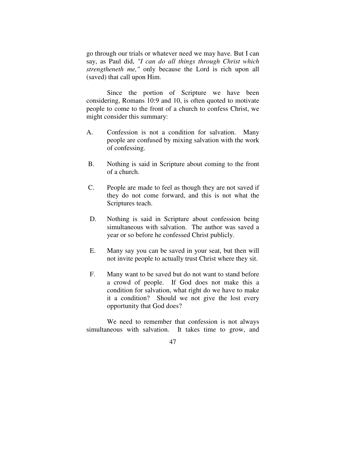go through our trials or whatever need we may have. But I can say, as Paul did, *"I can do all things through Christ which strengtheneth me,"* only because the Lord is rich upon all (saved) that call upon Him.

 Since the portion of Scripture we have been considering, Romans 10:9 and 10, is often quoted to motivate people to come to the front of a church to confess Christ, we might consider this summary:

- A. Confession is not a condition for salvation. Many people are confused by mixing salvation with the work of confessing.
- B. Nothing is said in Scripture about coming to the front of a church.
- C. People are made to feel as though they are not saved if they do not come forward, and this is not what the Scriptures teach.
- D. Nothing is said in Scripture about confession being simultaneous with salvation. The author was saved a year or so before he confessed Christ publicly.
- E. Many say you can be saved in your seat, but then will not invite people to actually trust Christ where they sit.
- F. Many want to be saved but do not want to stand before a crowd of people. If God does not make this a condition for salvation, what right do we have to make it a condition? Should we not give the lost every opportunity that God does?

 We need to remember that confession is not always simultaneous with salvation. It takes time to grow, and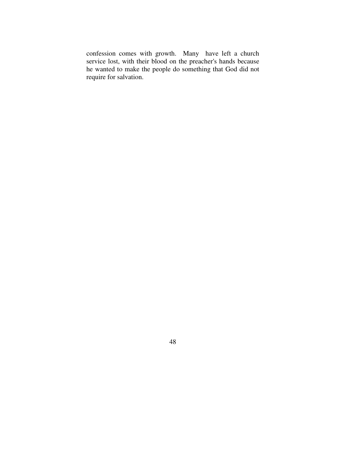confession comes with growth. Many have left a church service lost, with their blood on the preacher's hands because he wanted to make the people do something that God did not require for salvation.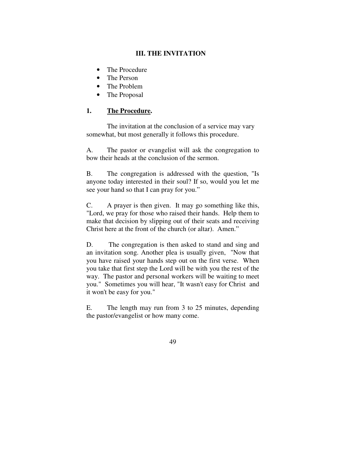# **III. THE INVITATION**

- The Procedure
- The Person
- The Problem
- The Proposal

# **1. The Procedure.**

 The invitation at the conclusion of a service may vary somewhat, but most generally it follows this procedure.

A. The pastor or evangelist will ask the congregation to bow their heads at the conclusion of the sermon.

B. The congregation is addressed with the question, "Is anyone today interested in their soul? If so, would you let me see your hand so that I can pray for you."

C. A prayer is then given. It may go something like this, "Lord, we pray for those who raised their hands. Help them to make that decision by slipping out of their seats and receiving Christ here at the front of the church (or altar). Amen."

D. The congregation is then asked to stand and sing and an invitation song. Another plea is usually given, "Now that you have raised your hands step out on the first verse. When you take that first step the Lord will be with you the rest of the way. The pastor and personal workers will be waiting to meet you." Sometimes you will hear, "It wasn't easy for Christ and it won't be easy for you."

E. The length may run from 3 to 25 minutes, depending the pastor/evangelist or how many come.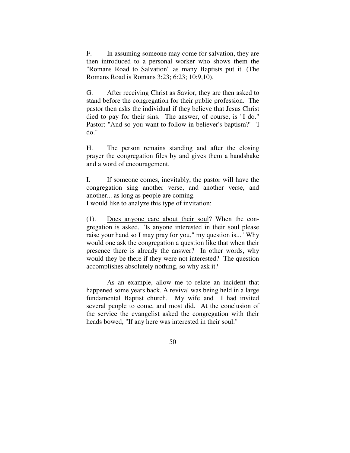F. In assuming someone may come for salvation, they are then introduced to a personal worker who shows them the "Romans Road to Salvation" as many Baptists put it. (The Romans Road is Romans 3:23; 6:23; 10:9,10).

G. After receiving Christ as Savior, they are then asked to stand before the congregation for their public profession. The pastor then asks the individual if they believe that Jesus Christ died to pay for their sins. The answer, of course, is "I do." Pastor: "And so you want to follow in believer's baptism?" "I do."

H. The person remains standing and after the closing prayer the congregation files by and gives them a handshake and a word of encouragement.

I. If someone comes, inevitably, the pastor will have the congregation sing another verse, and another verse, and another... as long as people are coming.

I would like to analyze this type of invitation:

(1). Does anyone care about their soul? When the congregation is asked, "Is anyone interested in their soul please raise your hand so I may pray for you," my question is... "Why would one ask the congregation a question like that when their presence there is already the answer? In other words, why would they be there if they were not interested? The question accomplishes absolutely nothing, so why ask it?

 As an example, allow me to relate an incident that happened some years back. A revival was being held in a large fundamental Baptist church. My wife and I had invited several people to come, and most did. At the conclusion of the service the evangelist asked the congregation with their heads bowed, "If any here was interested in their soul."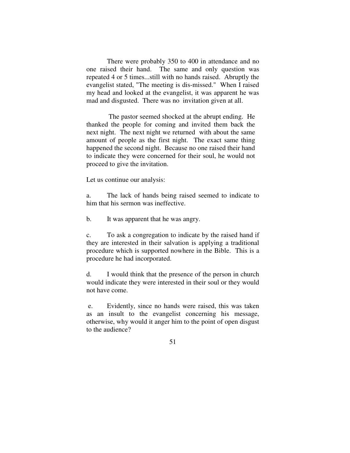There were probably 350 to 400 in attendance and no one raised their hand. The same and only question was repeated 4 or 5 times...still with no hands raised. Abruptly the evangelist stated, "The meeting is dis-missed." When I raised my head and looked at the evangelist, it was apparent he was mad and disgusted. There was no invitation given at all.

 The pastor seemed shocked at the abrupt ending. He thanked the people for coming and invited them back the next night. The next night we returned with about the same amount of people as the first night. The exact same thing happened the second night. Because no one raised their hand to indicate they were concerned for their soul, he would not proceed to give the invitation.

Let us continue our analysis:

a. The lack of hands being raised seemed to indicate to him that his sermon was ineffective.

b. It was apparent that he was angry.

c. To ask a congregation to indicate by the raised hand if they are interested in their salvation is applying a traditional procedure which is supported nowhere in the Bible. This is a procedure he had incorporated.

d. I would think that the presence of the person in church would indicate they were interested in their soul or they would not have come.

 e. Evidently, since no hands were raised, this was taken as an insult to the evangelist concerning his message, otherwise, why would it anger him to the point of open disgust to the audience?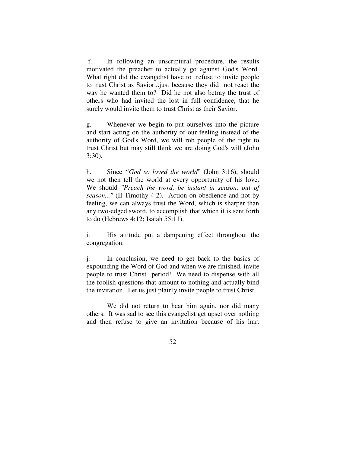f. In following an unscriptural procedure, the results motivated the preacher to actually go against God's Word. What right did the evangelist have to refuse to invite people to trust Christ as Savior...just because they did not react the way he wanted them to? Did he not also betray the trust of others who had invited the lost in full confidence, that he surely would invite them to trust Christ as their Savior.

g. Whenever we begin to put ourselves into the picture and start acting on the authority of our feeling instead of the authority of God's Word, we will rob people of the right to trust Christ but may still think we are doing God's will (John 3:30).

h. Since *"God so loved the world*" (John 3:16), should we not then tell the world at every opportunity of his love. We should *"Preach the word, be instant in season, out of season..."* (II Timothy 4:2). Action on obedience and not by feeling, we can always trust the Word, which is sharper than any two-edged sword, to accomplish that which it is sent forth to do (Hebrews 4:12; Isaiah 55:11).

i. His attitude put a dampening effect throughout the congregation.

j. In conclusion, we need to get back to the basics of expounding the Word of God and when we are finished, invite people to trust Christ...period! We need to dispense with all the foolish questions that amount to nothing and actually bind the invitation. Let us just plainly invite people to trust Christ.

 We did not return to hear him again, nor did many others. It was sad to see this evangelist get upset over nothing and then refuse to give an invitation because of his hurt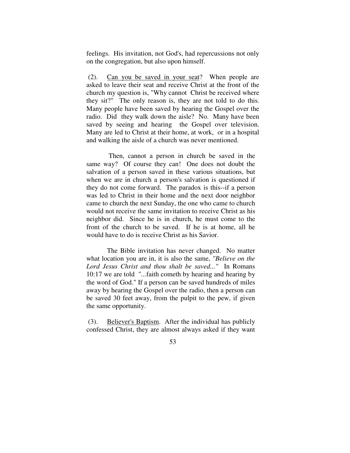feelings. His invitation, not God's, had repercussions not only on the congregation, but also upon himself.

 (2). Can you be saved in your seat? When people are asked to leave their seat and receive Christ at the front of the church my question is, "Why cannot Christ be received where they sit?" The only reason is, they are not told to do this. Many people have been saved by hearing the Gospel over the radio. Did they walk down the aisle? No. Many have been saved by seeing and hearing the Gospel over television. Many are led to Christ at their home, at work, or in a hospital and walking the aisle of a church was never mentioned.

 Then, cannot a person in church be saved in the same way? Of course they can! One does not doubt the salvation of a person saved in these various situations, but when we are in church a person's salvation is questioned if they do not come forward. The paradox is this--if a person was led to Christ in their home and the next door neighbor came to church the next Sunday, the one who came to church would not receive the same invitation to receive Christ as his neighbor did. Since he is in church, he must come to the front of the church to be saved. If he is at home, all he would have to do is receive Christ as his Savior.

 The Bible invitation has never changed. No matter what location you are in, it is also the same, *"Believe on the Lord Jesus Christ and thou shalt be saved..."* In Romans 10:17 we are told "...faith cometh by hearing and hearing by the word of God." If a person can be saved hundreds of miles away by hearing the Gospel over the radio, then a person can be saved 30 feet away, from the pulpit to the pew, if given the same opportunity.

 (3). Believer's Baptism. After the individual has publicly confessed Christ, they are almost always asked if they want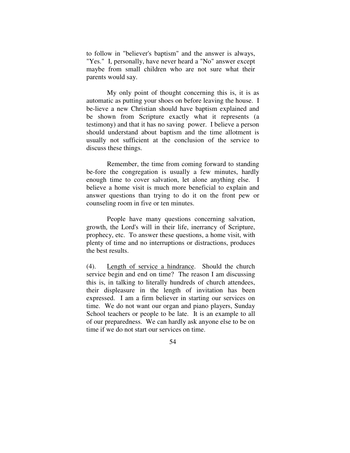to follow in "believer's baptism" and the answer is always, "Yes." I, personally, have never heard a "No" answer except maybe from small children who are not sure what their parents would say.

 My only point of thought concerning this is, it is as automatic as putting your shoes on before leaving the house. I be-lieve a new Christian should have baptism explained and be shown from Scripture exactly what it represents (a testimony) and that it has no saving power. I believe a person should understand about baptism and the time allotment is usually not sufficient at the conclusion of the service to discuss these things.

 Remember, the time from coming forward to standing be-fore the congregation is usually a few minutes, hardly enough time to cover salvation, let alone anything else. I believe a home visit is much more beneficial to explain and answer questions than trying to do it on the front pew or counseling room in five or ten minutes.

 People have many questions concerning salvation, growth, the Lord's will in their life, inerrancy of Scripture, prophecy, etc. To answer these questions, a home visit, with plenty of time and no interruptions or distractions, produces the best results.

(4). Length of service a hindrance. Should the church service begin and end on time? The reason I am discussing this is, in talking to literally hundreds of church attendees, their displeasure in the length of invitation has been expressed. I am a firm believer in starting our services on time. We do not want our organ and piano players, Sunday School teachers or people to be late. It is an example to all of our preparedness. We can hardly ask anyone else to be on time if we do not start our services on time.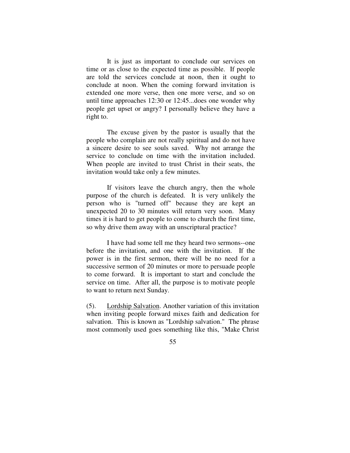It is just as important to conclude our services on time or as close to the expected time as possible. If people are told the services conclude at noon, then it ought to conclude at noon. When the coming forward invitation is extended one more verse, then one more verse, and so on until time approaches 12:30 or 12:45...does one wonder why people get upset or angry? I personally believe they have a right to.

 The excuse given by the pastor is usually that the people who complain are not really spiritual and do not have a sincere desire to see souls saved. Why not arrange the service to conclude on time with the invitation included. When people are invited to trust Christ in their seats, the invitation would take only a few minutes.

 If visitors leave the church angry, then the whole purpose of the church is defeated. It is very unlikely the person who is "turned off" because they are kept an unexpected 20 to 30 minutes will return very soon. Many times it is hard to get people to come to church the first time, so why drive them away with an unscriptural practice?

 I have had some tell me they heard two sermons--one before the invitation, and one with the invitation. If the power is in the first sermon, there will be no need for a successive sermon of 20 minutes or more to persuade people to come forward. It is important to start and conclude the service on time. After all, the purpose is to motivate people to want to return next Sunday.

(5). Lordship Salvation. Another variation of this invitation when inviting people forward mixes faith and dedication for salvation. This is known as "Lordship salvation." The phrase most commonly used goes something like this, "Make Christ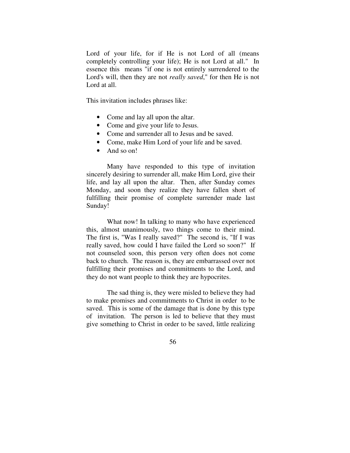Lord of your life, for if He is not Lord of all (means completely controlling your life); He is not Lord at all." In essence this means "if one is not entirely surrendered to the Lord's will, then they are not *really saved*," for then He is not Lord at all.

This invitation includes phrases like:

- Come and lay all upon the altar.
- Come and give your life to Jesus.
- Come and surrender all to Jesus and be saved.
- Come, make Him Lord of your life and be saved.
- And so on!

 Many have responded to this type of invitation sincerely desiring to surrender all, make Him Lord, give their life, and lay all upon the altar. Then, after Sunday comes Monday, and soon they realize they have fallen short of fulfilling their promise of complete surrender made last Sunday!

What now! In talking to many who have experienced this, almost unanimously, two things come to their mind. The first is, "Was I really saved?" The second is, "If I was really saved, how could I have failed the Lord so soon?" If not counseled soon, this person very often does not come back to church. The reason is, they are embarrassed over not fulfilling their promises and commitments to the Lord, and they do not want people to think they are hypocrites.

 The sad thing is, they were misled to believe they had to make promises and commitments to Christ in order to be saved. This is some of the damage that is done by this type of invitation. The person is led to believe that they must give something to Christ in order to be saved, little realizing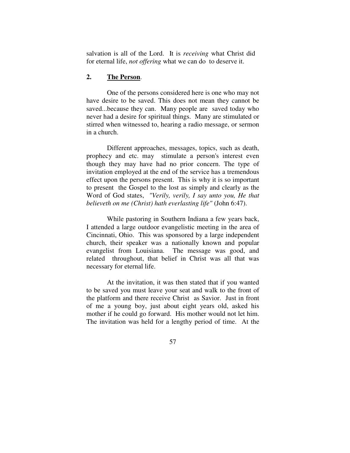salvation is all of the Lord. It is *receiving* what Christ did for eternal life, *not offering* what we can do to deserve it.

# **2. The Person**.

 One of the persons considered here is one who may not have desire to be saved. This does not mean they cannot be saved...because they can. Many people are saved today who never had a desire for spiritual things. Many are stimulated or stirred when witnessed to, hearing a radio message, or sermon in a church.

 Different approaches, messages, topics, such as death, prophecy and etc. may stimulate a person's interest even though they may have had no prior concern. The type of invitation employed at the end of the service has a tremendous effect upon the persons present. This is why it is so important to present the Gospel to the lost as simply and clearly as the Word of God states, *"Verily, verily, I say unto you, He that believeth on me (Christ) hath everlasting life"* (John 6:47).

 While pastoring in Southern Indiana a few years back, I attended a large outdoor evangelistic meeting in the area of Cincinnati, Ohio. This was sponsored by a large independent church, their speaker was a nationally known and popular evangelist from Louisiana. The message was good, and related throughout, that belief in Christ was all that was necessary for eternal life.

 At the invitation, it was then stated that if you wanted to be saved you must leave your seat and walk to the front of the platform and there receive Christ as Savior. Just in front of me a young boy, just about eight years old, asked his mother if he could go forward. His mother would not let him. The invitation was held for a lengthy period of time. At the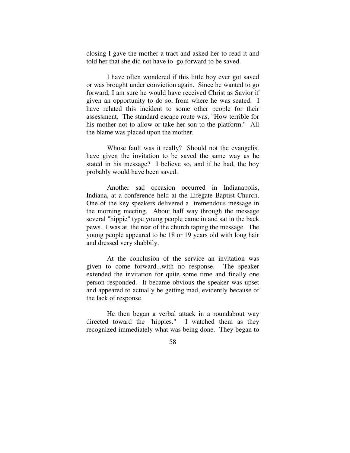closing I gave the mother a tract and asked her to read it and told her that she did not have to go forward to be saved.

 I have often wondered if this little boy ever got saved or was brought under conviction again. Since he wanted to go forward, I am sure he would have received Christ as Savior if given an opportunity to do so, from where he was seated. I have related this incident to some other people for their assessment. The standard escape route was, "How terrible for his mother not to allow or take her son to the platform." All the blame was placed upon the mother.

 Whose fault was it really? Should not the evangelist have given the invitation to be saved the same way as he stated in his message? I believe so, and if he had, the boy probably would have been saved.

 Another sad occasion occurred in Indianapolis, Indiana, at a conference held at the Lifegate Baptist Church. One of the key speakers delivered a tremendous message in the morning meeting. About half way through the message several "hippie" type young people came in and sat in the back pews. I was at the rear of the church taping the message. The young people appeared to be 18 or 19 years old with long hair and dressed very shabbily.

 At the conclusion of the service an invitation was given to come forward...with no response. The speaker extended the invitation for quite some time and finally one person responded. It became obvious the speaker was upset and appeared to actually be getting mad, evidently because of the lack of response.

 He then began a verbal attack in a roundabout way directed toward the "hippies." I watched them as they recognized immediately what was being done. They began to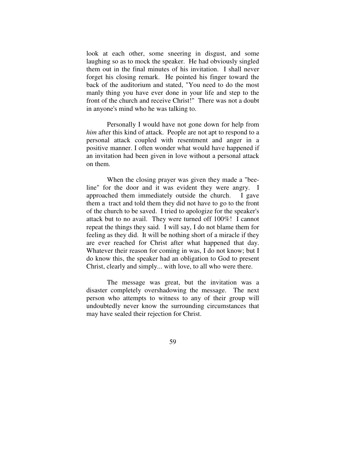look at each other, some sneering in disgust, and some laughing so as to mock the speaker. He had obviously singled them out in the final minutes of his invitation. I shall never forget his closing remark. He pointed his finger toward the back of the auditorium and stated, "You need to do the most manly thing you have ever done in your life and step to the front of the church and receive Christ!" There was not a doubt in anyone's mind who he was talking to.

 Personally I would have not gone down for help from *him* after this kind of attack. People are not apt to respond to a personal attack coupled with resentment and anger in a positive manner. I often wonder what would have happened if an invitation had been given in love without a personal attack on them.

 When the closing prayer was given they made a "beeline" for the door and it was evident they were angry. I approached them immediately outside the church. I gave them a tract and told them they did not have to go to the front of the church to be saved. I tried to apologize for the speaker's attack but to no avail. They were turned off 100%! I cannot repeat the things they said. I will say, I do not blame them for feeling as they did. It will be nothing short of a miracle if they are ever reached for Christ after what happened that day. Whatever their reason for coming in was, I do not know; but I do know this, the speaker had an obligation to God to present Christ, clearly and simply... with love, to all who were there.

 The message was great, but the invitation was a disaster completely overshadowing the message. The next person who attempts to witness to any of their group will undoubtedly never know the surrounding circumstances that may have sealed their rejection for Christ.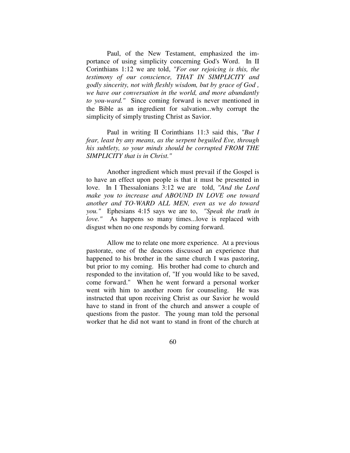Paul, of the New Testament, emphasized the importance of using simplicity concerning God's Word. In II Corinthians 1:12 we are told, *"For our rejoicing is this, the testimony of our conscience, THAT IN SIMPLICITY and godly sincerity, not with fleshly wisdom, but by grace of God , we have our conversation in the world, and more abundantly to you-ward."* Since coming forward is never mentioned in the Bible as an ingredient for salvation...why corrupt the simplicity of simply trusting Christ as Savior.

 Paul in writing II Corinthians 11:3 said this, *"But I fear, least by any means, as the serpent beguiled Eve, through his subtlety, so your minds should be corrupted FROM THE SIMPLICITY that is in Christ."*

 Another ingredient which must prevail if the Gospel is to have an effect upon people is that it must be presented in love. In I Thessalonians 3:12 we are told, *"And the Lord make you to increase and ABOUND IN LOVE one toward another and TO-WARD ALL MEN, even as we do toward you."* Ephesians 4:15 says we are to, *"Speak the truth in love."* As happens so many times...love is replaced with disgust when no one responds by coming forward.

 Allow me to relate one more experience. At a previous pastorate, one of the deacons discussed an experience that happened to his brother in the same church I was pastoring, but prior to my coming. His brother had come to church and responded to the invitation of, "If you would like to be saved, come forward." When he went forward a personal worker went with him to another room for counseling. He was instructed that upon receiving Christ as our Savior he would have to stand in front of the church and answer a couple of questions from the pastor. The young man told the personal worker that he did not want to stand in front of the church at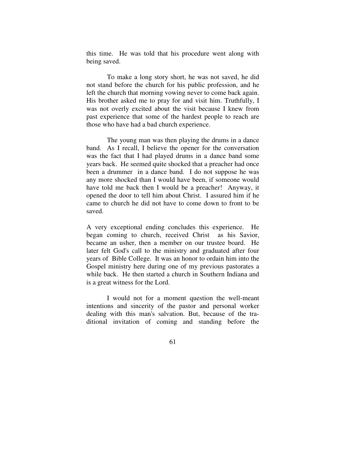this time. He was told that his procedure went along with being saved.

 To make a long story short, he was not saved, he did not stand before the church for his public profession, and he left the church that morning vowing never to come back again. His brother asked me to pray for and visit him. Truthfully, I was not overly excited about the visit because I knew from past experience that some of the hardest people to reach are those who have had a bad church experience.

 The young man was then playing the drums in a dance band. As I recall, I believe the opener for the conversation was the fact that I had played drums in a dance band some years back. He seemed quite shocked that a preacher had once been a drummer in a dance band. I do not suppose he was any more shocked than I would have been, if someone would have told me back then I would be a preacher! Anyway, it opened the door to tell him about Christ. I assured him if he came to church he did not have to come down to front to be saved.

A very exceptional ending concludes this experience. He began coming to church, received Christ as his Savior, became an usher, then a member on our trustee board. He later felt God's call to the ministry and graduated after four years of Bible College. It was an honor to ordain him into the Gospel ministry here during one of my previous pastorates a while back. He then started a church in Southern Indiana and is a great witness for the Lord.

 I would not for a moment question the well-meant intentions and sincerity of the pastor and personal worker dealing with this man's salvation. But, because of the traditional invitation of coming and standing before the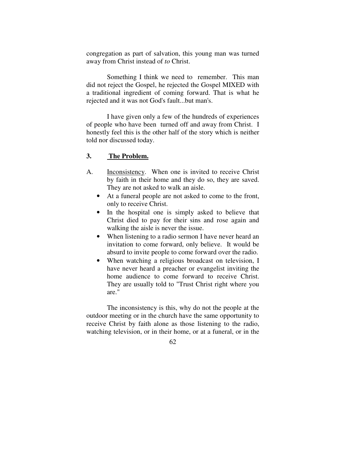congregation as part of salvation, this young man was turned away from Christ instead of *to* Christ.

 Something I think we need to remember. This man did not reject the Gospel, he rejected the Gospel MIXED with a traditional ingredient of coming forward. That is what he rejected and it was not God's fault...but man's.

 I have given only a few of the hundreds of experiences of people who have been turned off and away from Christ. I honestly feel this is the other half of the story which is neither told nor discussed today.

## **3. The Problem.**

- A. Inconsistency. When one is invited to receive Christ by faith in their home and they do so, they are saved. They are not asked to walk an aisle.
	- At a funeral people are not asked to come to the front, only to receive Christ.
	- In the hospital one is simply asked to believe that Christ died to pay for their sins and rose again and walking the aisle is never the issue.
	- When listening to a radio sermon I have never heard an invitation to come forward, only believe. It would be absurd to invite people to come forward over the radio.
	- When watching a religious broadcast on television, I have never heard a preacher or evangelist inviting the home audience to come forward to receive Christ. They are usually told to "Trust Christ right where you are."

 The inconsistency is this, why do not the people at the outdoor meeting or in the church have the same opportunity to receive Christ by faith alone as those listening to the radio, watching television, or in their home, or at a funeral, or in the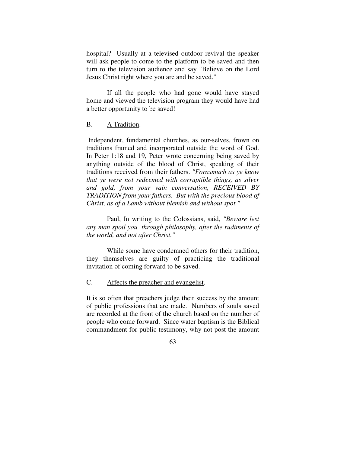hospital? Usually at a televised outdoor revival the speaker will ask people to come to the platform to be saved and then turn to the television audience and say "Believe on the Lord Jesus Christ right where you are and be saved."

 If all the people who had gone would have stayed home and viewed the television program they would have had a better opportunity to be saved!

# B. A Tradition.

 Independent, fundamental churches, as our-selves, frown on traditions framed and incorporated outside the word of God. In Peter 1:18 and 19, Peter wrote concerning being saved by anything outside of the blood of Christ, speaking of their traditions received from their fathers. *"Forasmuch as ye know that ye were not redeemed with corruptible things, as silver and gold, from your vain conversation, RECEIVED BY TRADITION from your fathers. But with the precious blood of Christ, as of a Lamb without blemish and without spot."* 

 Paul, In writing to the Colossians, said, *"Beware lest any man spoil you through philosophy, after the rudiments of the world, and not after Christ."* 

 While some have condemned others for their tradition, they themselves are guilty of practicing the traditional invitation of coming forward to be saved.

C. Affects the preacher and evangelist.

It is so often that preachers judge their success by the amount of public professions that are made. Numbers of souls saved are recorded at the front of the church based on the number of people who come forward. Since water baptism is the Biblical commandment for public testimony, why not post the amount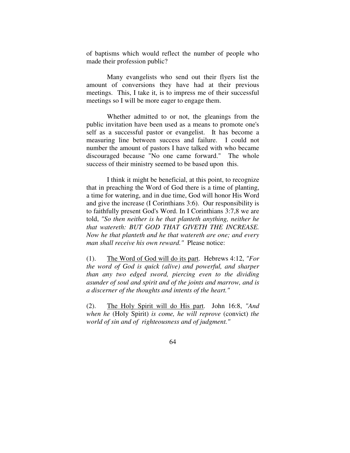of baptisms which would reflect the number of people who made their profession public?

 Many evangelists who send out their flyers list the amount of conversions they have had at their previous meetings. This, I take it, is to impress me of their successful meetings so I will be more eager to engage them.

 Whether admitted to or not, the gleanings from the public invitation have been used as a means to promote one's self as a successful pastor or evangelist. It has become a measuring line between success and failure. I could not number the amount of pastors I have talked with who became discouraged because "No one came forward." The whole success of their ministry seemed to be based upon this.

 I think it might be beneficial, at this point, to recognize that in preaching the Word of God there is a time of planting, a time for watering, and in due time, God will honor His Word and give the increase (I Corinthians 3:6). Our responsibility is to faithfully present God's Word. In I Corinthians 3:7,8 we are told, *"So then neither is he that planteth anything, neither he that watereth: BUT GOD THAT GIVETH THE INCREASE. Now he that planteth and he that watereth are one; and every man shall receive his own reward."* Please notice:

(1). The Word of God will do its part. Hebrews 4:12, *"For the word of God is quick (alive) and powerful, and sharper than any two edged sword, piercing even to the dividing asunder of soul and spirit and of the joints and marrow, and is a discerner of the thoughts and intents of the heart."* 

(2). The Holy Spirit will do His part. John 16:8, *"And when he* (Holy Spirit) *is come, he will reprove* (convict) *the world of sin and of righteousness and of judgment."*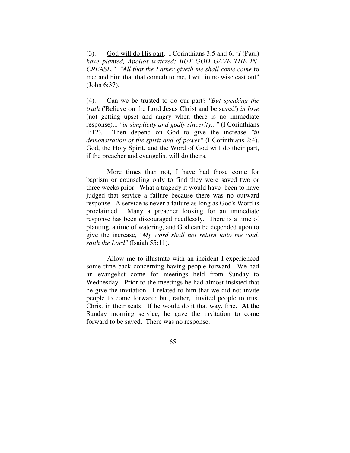(3). God will do His part. I Corinthians 3:5 and 6, *"I* (Paul) *have planted, Apollos watered; BUT GOD GAVE THE IN-CREASE." "All that the Father giveth me shall come come* to me; and him that that cometh to me, I will in no wise cast out" (John 6:37).

(4). Can we be trusted to do our part? *"But speaking the truth* ('Believe on the Lord Jesus Christ and be saved') *in love* (not getting upset and angry when there is no immediate response)... *"in simplicity and godly sincerity..."* (I Corinthians 1:12). Then depend on God to give the increase *"in demonstration of the spirit and of power"* (I Corinthians 2:4). God, the Holy Spirit, and the Word of God will do their part, if the preacher and evangelist will do theirs.

 More times than not, I have had those come for baptism or counseling only to find they were saved two or three weeks prior. What a tragedy it would have been to have judged that service a failure because there was no outward response. A service is never a failure as long as God's Word is proclaimed. Many a preacher looking for an immediate response has been discouraged needlessly. There is a time of planting, a time of watering, and God can be depended upon to give the increase*, "My word shall not return unto me void, saith the Lord"* (Isaiah 55:11).

 Allow me to illustrate with an incident I experienced some time back concerning having people forward. We had an evangelist come for meetings held from Sunday to Wednesday. Prior to the meetings he had almost insisted that he give the invitation. I related to him that we did not invite people to come forward; but, rather, invited people to trust Christ in their seats. If he would do it that way, fine. At the Sunday morning service, he gave the invitation to come forward to be saved. There was no response.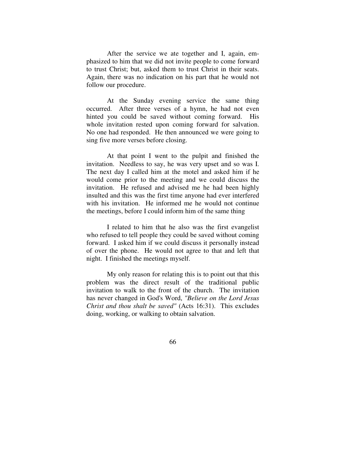After the service we ate together and I, again, emphasized to him that we did not invite people to come forward to trust Christ; but, asked them to trust Christ in their seats. Again, there was no indication on his part that he would not follow our procedure.

 At the Sunday evening service the same thing occurred. After three verses of a hymn, he had not even hinted you could be saved without coming forward. His whole invitation rested upon coming forward for salvation. No one had responded. He then announced we were going to sing five more verses before closing.

 At that point I went to the pulpit and finished the invitation. Needless to say, he was very upset and so was I. The next day I called him at the motel and asked him if he would come prior to the meeting and we could discuss the invitation. He refused and advised me he had been highly insulted and this was the first time anyone had ever interfered with his invitation. He informed me he would not continue the meetings, before I could inform him of the same thing

 I related to him that he also was the first evangelist who refused to tell people they could be saved without coming forward. I asked him if we could discuss it personally instead of over the phone. He would not agree to that and left that night. I finished the meetings myself.

 My only reason for relating this is to point out that this problem was the direct result of the traditional public invitation to walk to the front of the church. The invitation has never changed in God's Word, *"Believe on the Lord Jesus Christ and thou shalt be saved"* (Acts 16:31). This excludes doing, working, or walking to obtain salvation.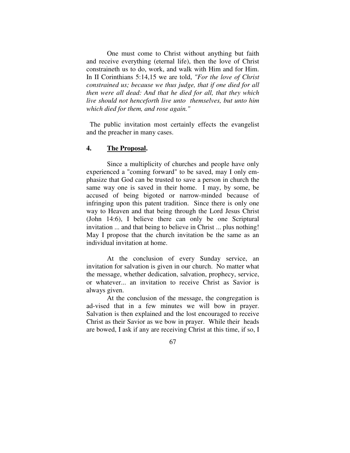One must come to Christ without anything but faith and receive everything (eternal life), then the love of Christ constraineth us to do, work, and walk with Him and for Him. In II Corinthians 5:14,15 we are told, *"For the love of Christ constrained us; because we thus judge, that if one died for all then were all dead: And that he died for all, that they which live should not henceforth live unto themselves, but unto him which died for them, and rose again."* 

 The public invitation most certainly effects the evangelist and the preacher in many cases.

## **4. The Proposal.**

 Since a multiplicity of churches and people have only experienced a "coming forward" to be saved, may I only emphasize that God can be trusted to save a person in church the same way one is saved in their home. I may, by some, be accused of being bigoted or narrow-minded because of infringing upon this patent tradition. Since there is only one way to Heaven and that being through the Lord Jesus Christ (John 14:6), I believe there can only be one Scriptural invitation ... and that being to believe in Christ ... plus nothing! May I propose that the church invitation be the same as an individual invitation at home.

 At the conclusion of every Sunday service, an invitation for salvation is given in our church. No matter what the message, whether dedication, salvation, prophecy, service, or whatever... an invitation to receive Christ as Savior is always given.

 At the conclusion of the message, the congregation is ad-vised that in a few minutes we will bow in prayer. Salvation is then explained and the lost encouraged to receive Christ as their Savior as we bow in prayer. While their heads are bowed, I ask if any are receiving Christ at this time, if so, I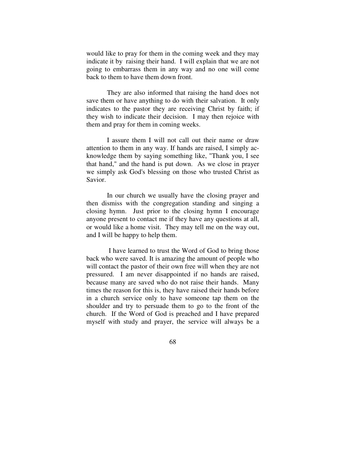would like to pray for them in the coming week and they may indicate it by raising their hand. I will explain that we are not going to embarrass them in any way and no one will come back to them to have them down front.

 They are also informed that raising the hand does not save them or have anything to do with their salvation. It only indicates to the pastor they are receiving Christ by faith; if they wish to indicate their decision. I may then rejoice with them and pray for them in coming weeks.

 I assure them I will not call out their name or draw attention to them in any way. If hands are raised, I simply acknowledge them by saying something like, "Thank you, I see that hand," and the hand is put down. As we close in prayer we simply ask God's blessing on those who trusted Christ as Savior.

 In our church we usually have the closing prayer and then dismiss with the congregation standing and singing a closing hymn. Just prior to the closing hymn I encourage anyone present to contact me if they have any questions at all, or would like a home visit. They may tell me on the way out, and I will be happy to help them.

 I have learned to trust the Word of God to bring those back who were saved. It is amazing the amount of people who will contact the pastor of their own free will when they are not pressured. I am never disappointed if no hands are raised, because many are saved who do not raise their hands. Many times the reason for this is, they have raised their hands before in a church service only to have someone tap them on the shoulder and try to persuade them to go to the front of the church. If the Word of God is preached and I have prepared myself with study and prayer, the service will always be a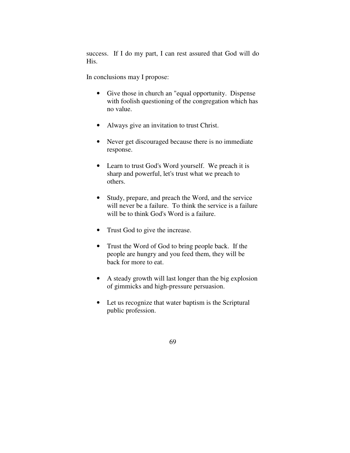success. If I do my part, I can rest assured that God will do His.

In conclusions may I propose:

- Give those in church an "equal opportunity. Dispense with foolish questioning of the congregation which has no value.
- Always give an invitation to trust Christ.
- Never get discouraged because there is no immediate response.
- Learn to trust God's Word yourself. We preach it is sharp and powerful, let's trust what we preach to others.
- Study, prepare, and preach the Word, and the service will never be a failure. To think the service is a failure will be to think God's Word is a failure.
- Trust God to give the increase.
- Trust the Word of God to bring people back. If the people are hungry and you feed them, they will be back for more to eat.
- A steady growth will last longer than the big explosion of gimmicks and high-pressure persuasion.
- Let us recognize that water baptism is the Scriptural public profession.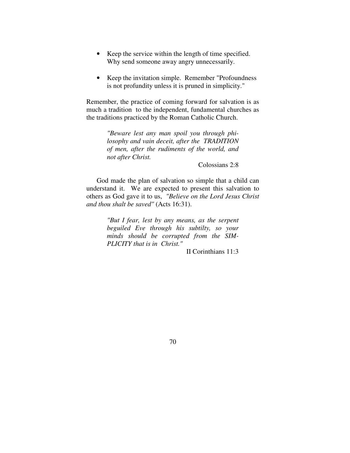- Keep the service within the length of time specified. Why send someone away angry unnecessarily.
- Keep the invitation simple. Remember "Profoundness" is not profundity unless it is pruned in simplicity."

Remember, the practice of coming forward for salvation is as much a tradition to the independent, fundamental churches as the traditions practiced by the Roman Catholic Church.

> *"Beware lest any man spoil you through philosophy and vain deceit, after the TRADITION of men, after the rudiments of the world, and not after Christ.*

> > Colossians 2:8

 God made the plan of salvation so simple that a child can understand it. We are expected to present this salvation to others as God gave it to us, *"Believe on the Lord Jesus Christ and thou shalt be saved"* (Acts 16:31).

> *"But I fear, lest by any means, as the serpent beguiled Eve through his subtilty, so your minds should be corrupted from the SIM-PLICITY that is in Christ."*

> > II Corinthians 11:3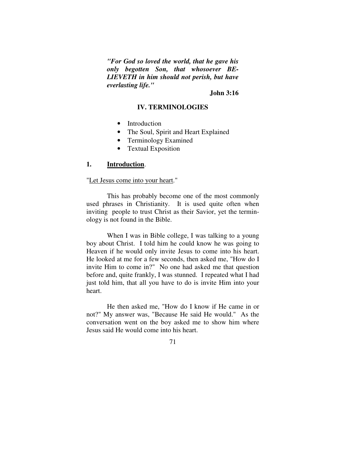*"For God so loved the world, that he gave his only begotten Son, that whosoever BE-LIEVETH in him should not perish, but have everlasting life."*

**John 3:16** 

### **IV. TERMINOLOGIES**

- Introduction
- The Soul, Spirit and Heart Explained
- Terminology Examined
- Textual Exposition

## **1. Introduction**.

### "Let Jesus come into your heart."

 This has probably become one of the most commonly used phrases in Christianity. It is used quite often when inviting people to trust Christ as their Savior, yet the terminology is not found in the Bible.

 When I was in Bible college, I was talking to a young boy about Christ. I told him he could know he was going to Heaven if he would only invite Jesus to come into his heart. He looked at me for a few seconds, then asked me, "How do I invite Him to come in?" No one had asked me that question before and, quite frankly, I was stunned. I repeated what I had just told him, that all you have to do is invite Him into your heart.

 He then asked me, "How do I know if He came in or not?" My answer was, "Because He said He would." As the conversation went on the boy asked me to show him where Jesus said He would come into his heart.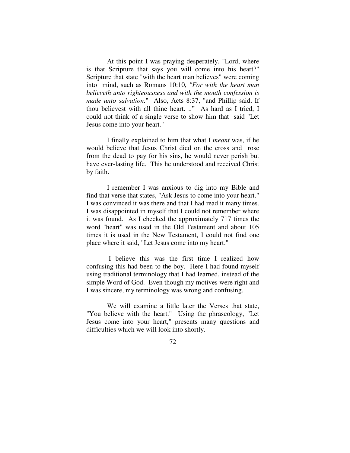At this point I was praying desperately, "Lord, where is that Scripture that says you will come into his heart?" Scripture that state "with the heart man believes" were coming into mind, such as Romans 10:10, *"For with the heart man believeth unto righteousness and with the mouth confession is made unto salvation.*" Also, Acts 8:37, "and Phillip said, If thou believest with all thine heart. .." As hard as I tried, I could not think of a single verse to show him that said "Let Jesus come into your heart."

 I finally explained to him that what I *meant* was, if he would believe that Jesus Christ died on the cross and rose from the dead to pay for his sins, he would never perish but have ever-lasting life. This he understood and received Christ by faith.

 I remember I was anxious to dig into my Bible and find that verse that states, "Ask Jesus to come into your heart." I was convinced it was there and that I had read it many times. I was disappointed in myself that I could not remember where it was found. As I checked the approximately 717 times the word "heart" was used in the Old Testament and about 105 times it is used in the New Testament, I could not find one place where it said, "Let Jesus come into my heart."

 I believe this was the first time I realized how confusing this had been to the boy. Here I had found myself using traditional terminology that I had learned, instead of the simple Word of God. Even though my motives were right and I was sincere, my terminology was wrong and confusing.

 We will examine a little later the Verses that state, "You believe with the heart." Using the phraseology, "Let Jesus come into your heart," presents many questions and difficulties which we will look into shortly.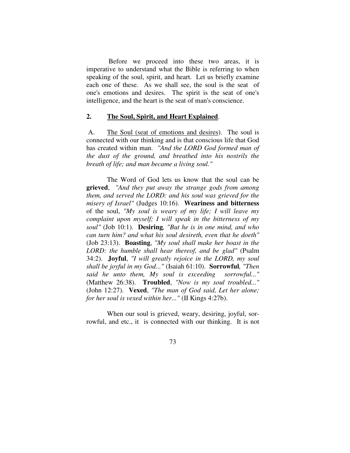Before we proceed into these two areas, it is imperative to understand what the Bible is referring to when speaking of the soul, spirit, and heart. Let us briefly examine each one of these. As we shall see, the soul is the seat of one's emotions and desires. The spirit is the seat of one's intelligence, and the heart is the seat of man's conscience.

### **2. The Soul, Spirit, and Heart Explained**.

 A. The Soul (seat of emotions and desires). The soul is connected with our thinking and is that conscious life that God has created within man. *"And the LORD God formed man of the dust of the ground, and breathed into his nostrils the breath of life; and man became a living soul."* 

 The Word of God lets us know that the soul can be **grieved**, *"And they put away the strange gods from among them, and served the LORD: and his soul was grieved for the misery of Israel"* (Judges 10:16). **Weariness and bitterness** of the soul, *"My soul is weary of my life; I will leave my complaint upon myself; I will speak in the bitterness of my soul"* (Job 10:1). **Desiring***, "But he is in one mind, and who can turn him? and what his soul desireth, even that he doeth"* (Job 23:13). **Boasting**, *"My soul shall make her boast in the LORD: the humble shall hear thereof, and be glad"* (Psalm 34:2). **Joyful**, *"I will greatly rejoice in the LORD, my soul shall be joyful in my God..."* (Isaiah 61:10). **Sorrowful***, "Then said he unto them, My soul is exceeding sorrowful..."* (Matthew 26:38). **Troubled**, *"Now is my soul troubled..."* (John 12:27). **Vexed**, *"The man of God said, Let her alone; for her soul is vexed within her..."* (II Kings 4:27b).

When our soul is grieved, weary, desiring, joyful, sorrowful, and etc., it is connected with our thinking. It is not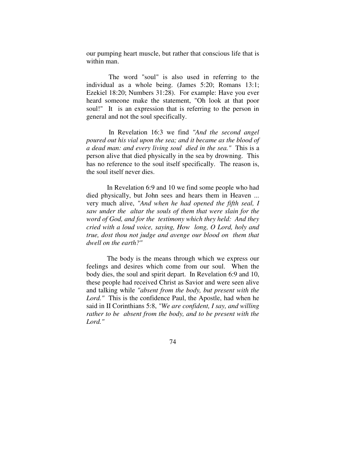our pumping heart muscle, but rather that conscious life that is within man.

 The word "soul" is also used in referring to the individual as a whole being. (James 5:20; Romans 13:1; Ezekiel 18:20; Numbers 31:28). For example: Have you ever heard someone make the statement, "Oh look at that poor soul!" It is an expression that is referring to the person in general and not the soul specifically.

 In Revelation 16:3 we find *"And the second angel poured out his vial upon the sea; and it became as the blood of a dead man: and every living soul died in the sea."* This is a person alive that died physically in the sea by drowning. This has no reference to the soul itself specifically. The reason is, the soul itself never dies.

 In Revelation 6:9 and 10 we find some people who had died physically, but John sees and hears them in Heaven ... very much alive, *"And when he had opened the fifth seal, I saw under the altar the souls of them that were slain for the word of God, and for the testimony which they held: And they cried with a loud voice, saying, How long, O Lord, holy and true, dost thou not judge and avenge our blood on them that dwell on the earth?"* 

 The body is the means through which we express our feelings and desires which come from our soul. When the body dies, the soul and spirit depart. In Revelation 6:9 and 10, these people had received Christ as Savior and were seen alive and talking while *"absent from the body, but present with the Lord."* This is the confidence Paul, the Apostle, had when he said in II Corinthians 5:8, *"We are confident, I say, and willing rather to be absent from the body, and to be present with the Lord."*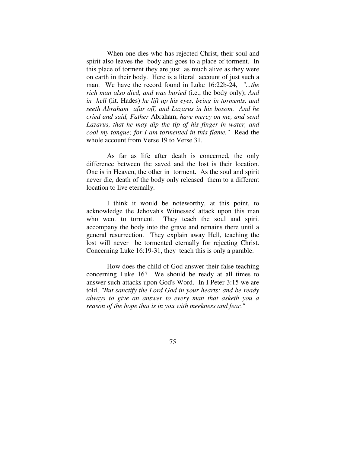When one dies who has rejected Christ, their soul and spirit also leaves the body and goes to a place of torment. In this place of torment they are just as much alive as they were on earth in their body. Here is a literal account of just such a man. We have the record found in Luke 16:22b-24, *"...the rich man also died, and was buried* (i.e., the body only); *And in hell* (lit. Hades) *he lift up his eyes, being in torments, and seeth Abraham afar off, and Lazarus in his bosom. And he cried and said, Father* Abraham, *have mercy on me, and send Lazarus, that he may dip the tip of his finger in water, and cool my tongue; for I am tormented in this flame."* Read the whole account from Verse 19 to Verse 31.

 As far as life after death is concerned, the only difference between the saved and the lost is their location. One is in Heaven, the other in torment. As the soul and spirit never die, death of the body only released them to a different location to live eternally.

 I think it would be noteworthy, at this point, to acknowledge the Jehovah's Witnesses' attack upon this man who went to torment. They teach the soul and spirit accompany the body into the grave and remains there until a general resurrection. They explain away Hell, teaching the lost will never be tormented eternally for rejecting Christ. Concerning Luke 16:19-31, they teach this is only a parable.

 How does the child of God answer their false teaching concerning Luke 16? We should be ready at all times to answer such attacks upon God's Word. In I Peter 3:15 we are told, *"But sanctify the Lord God in your hearts: and be ready always to give an answer to every man that asketh you a reason of the hope that is in you with meekness and fear."*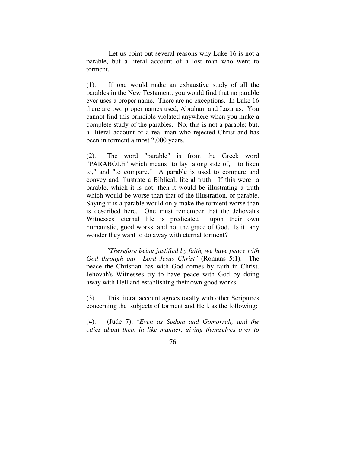Let us point out several reasons why Luke 16 is not a parable, but a literal account of a lost man who went to torment.

(1). If one would make an exhaustive study of all the parables in the New Testament, you would find that no parable ever uses a proper name. There are no exceptions. In Luke 16 there are two proper names used, Abraham and Lazarus. You cannot find this principle violated anywhere when you make a complete study of the parables. No, this is not a parable; but, a literal account of a real man who rejected Christ and has been in torment almost 2,000 years.

(2). The word "parable" is from the Greek word "PARABOLE" which means "to lay along side of," "to liken to," and "to compare." A parable is used to compare and convey and illustrate a Biblical, literal truth. If this were a parable, which it is not, then it would be illustrating a truth which would be worse than that of the illustration, or parable. Saying it is a parable would only make the torment worse than is described here. One must remember that the Jehovah's Witnesses' eternal life is predicated upon their own humanistic, good works, and not the grace of God. Is it any wonder they want to do away with eternal torment?

 *"Therefore being justified by faith, we have peace with God through our Lord Jesus Christ"* (Romans 5:1). The peace the Christian has with God comes by faith in Christ. Jehovah's Witnesses try to have peace with God by doing away with Hell and establishing their own good works.

(3). This literal account agrees totally with other Scriptures concerning the subjects of torment and Hell, as the following:

(4). (Jude 7), *"Even as Sodom and Gomorrah, and the cities about them in like manner, giving themselves over to*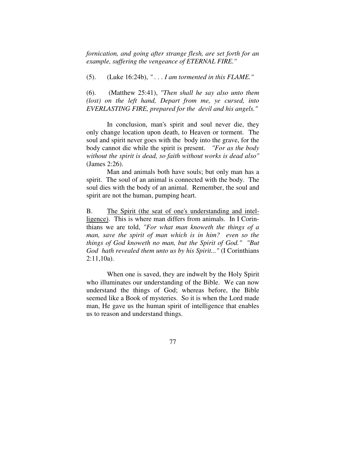*fornication, and going after strange flesh, are set forth for an example, suffering the vengeance of ETERNAL FIRE."* 

(5). (Luke 16:24b), *" . . . I am tormented in this FLAME."*

(6). (Matthew 25:41), *"Then shall he say also unto them (lost) on the left hand, Depart from me, ye cursed, into EVERLASTING FIRE, prepared for the devil and his angels."* 

 In conclusion, man's spirit and soul never die, they only change location upon death, to Heaven or torment. The soul and spirit never goes with the body into the grave, for the body cannot die while the spirit is present. *"For as the body without the spirit is dead, so faith without works is dead also"* (James 2:26).

 Man and animals both have souls; but only man has a spirit. The soul of an animal is connected with the body. The soul dies with the body of an animal. Remember, the soul and spirit are not the human, pumping heart.

B. The Spirit (the seat of one's understanding and intelligence). This is where man differs from animals. In I Corinthians we are told, *"For what man knoweth the things of a man, save the spirit of man which is in him? even so the things of God knoweth no man, but the Spirit of God." "But God hath revealed them unto us by his Spirit..."* (I Corinthians 2:11,10a).

 When one is saved, they are indwelt by the Holy Spirit who illuminates our understanding of the Bible. We can now understand the things of God; whereas before, the Bible seemed like a Book of mysteries. So it is when the Lord made man, He gave us the human spirit of intelligence that enables us to reason and understand things.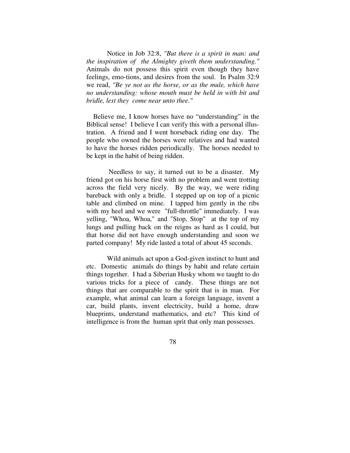Notice in Job 32:8, *"But there is a spirit in man: and the inspiration of the Almighty giveth them understanding."* Animals do not possess this spirit even though they have feelings, emo-tions, and desires from the soul. In Psalm 32:9 we read, *"Be ye not as the horse, or as the mule, which have no understanding: whose mouth must be held in with bit and bridle, lest they come near unto thee."* 

 Believe me, I know horses have no "understanding" in the Biblical sense! I believe I can verify this with a personal illustration. A friend and I went horseback riding one day. The people who owned the horses were relatives and had wanted to have the horses ridden periodically. The horses needed to be kept in the habit of being ridden.

 Needless to say, it turned out to be a disaster. My friend got on his horse first with no problem and went trotting across the field very nicely. By the way, we were riding bareback with only a bridle. I stepped up on top of a picnic table and climbed on mine. I tapped him gently in the ribs with my heel and we were "full-throttle" immediately. I was yelling, "Whoa, Whoa," and "Stop, Stop" at the top of my lungs and pulling back on the reigns as hard as I could, but that horse did not have enough understanding and soon we parted company! My ride lasted a total of about 45 seconds.

 Wild animals act upon a God-given instinct to hunt and etc. Domestic animals do things by habit and relate certain things together. I had a Siberian Husky whom we taught to do various tricks for a piece of candy. These things are not things that are comparable to the spirit that is in man. For example, what animal can learn a foreign language, invent a car, build plants, invent electricity, build a home, draw blueprints, understand mathematics, and etc? This kind of intelligence is from the human sprit that only man possesses.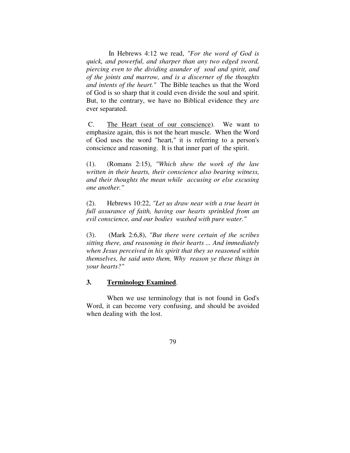In Hebrews 4:12 we read, *"For the word of God is quick, and powerful, and sharper than any two edged sword, piercing even to the dividing asunder of soul and spirit, and of the joints and marrow, and is a discerner of the thoughts and intents of the heart."* The Bible teaches us that the Word of God is so sharp that it could even divide the soul and spirit. But, to the contrary, we have no Biblical evidence they *are* ever separated.

 C. The Heart (seat of our conscience). We want to emphasize again, this is not the heart muscle. When the Word of God uses the word "heart," it is referring to a person's conscience and reasoning. It is that inner part of the spirit.

(1). (Romans 2:15), *"Which shew the work of the law written in their hearts, their conscience also bearing witness, and their thoughts the mean while accusing or else excusing one another."*

(2). Hebrews 10:22, *"Let us draw near with a true heart in full assurance of faith, having our hearts sprinkled from an evil conscience, and our bodies washed with pure water."* 

(3). (Mark 2:6,8), *"But there were certain of the scribes sitting there, and reasoning in their hearts ... And immediately when Jesus perceived in his spirit that they so reasoned within themselves, he said unto them, Why reason ye these things in your hearts?"* 

### **3. Terminology Examined**.

 When we use terminology that is not found in God's Word, it can become very confusing, and should be avoided when dealing with the lost.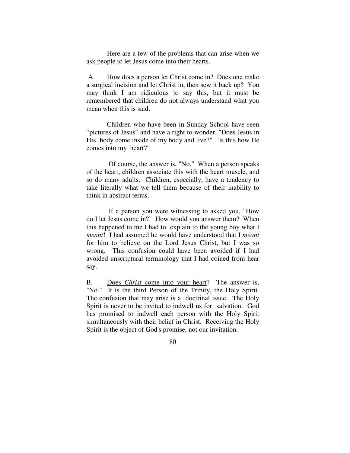Here are a few of the problems that can arise when we ask people to let Jesus come into their hearts.

 A. How does a person let Christ come in? Does one make a surgical incision and let Christ in, then sew it back up? You may think I am ridiculous to say this, but it must be remembered that children do not always understand what you mean when this is said.

 Children who have been in Sunday School have seen "pictures of Jesus" and have a right to wonder, "Does Jesus in His body come inside of my body and live?" "Is this how He comes into my heart?"

 Of course, the answer is, "No." When a person speaks of the heart, children associate this with the heart muscle, and so do many adults. Children, especially, have a tendency to take literally what we tell them because of their inability to think in abstract terms.

 If a person you were witnessing to asked you, "How do I let Jesus come in?" How would you answer them? When this happened to me I had to explain to the young boy what I *meant*! I had assumed he would have understood that I *meant* for him to believe on the Lord Jesus Christ, but I was so wrong. This confusion could have been avoided if I had avoided unscriptural terminology that I had coined from hear say.

B. Does *Christ* come into your heart? The answer is, "No." It is the third Person of the Trinity, the Holy Spirit. The confusion that may arise is a doctrinal issue. The Holy Spirit is never to be invited to indwell us for salvation. God has promised to indwell each person with the Holy Spirit simultaneously with their belief in Christ. Receiving the Holy Spirit is the object of God's promise, not our invitation.

80 and the state of the state of the state of the state of the state of the state of the state of the state of the state of the state of the state of the state of the state of the state of the state of the state of the sta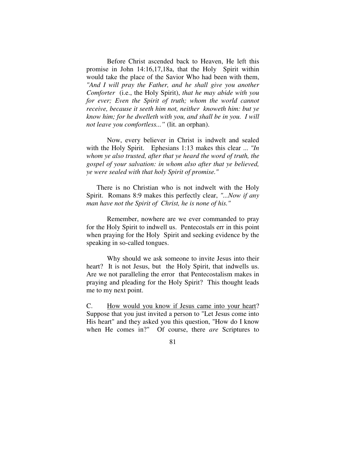Before Christ ascended back to Heaven, He left this promise in John 14:16,17,18a, that the Holy Spirit within would take the place of the Savior Who had been with them, *"And I will pray the Father, and he shall give you another Comforter* (i.e., the Holy Spirit), *that he may abide with you*  for ever; Even the Spirit of truth; whom the world cannot *receive, because it seeth him not, neither knoweth him: but ye know him; for he dwelleth with you, and shall be in you. I will not leave you comfortless..."* (lit. an orphan).

 Now, every believer in Christ is indwelt and sealed with the Holy Spirit. Ephesians 1:13 makes this clear ... *"In whom ye also trusted, after that ye heard the word of truth, the gospel of your salvation: in whom also after that ye believed, ye were sealed with that holy Spirit of promise."* 

 There is no Christian who is not indwelt with the Holy Spirit. Romans 8:9 makes this perfectly clear, *"...Now if any man have not the Spirit of Christ, he is none of his."*

 Remember, nowhere are we ever commanded to pray for the Holy Spirit to indwell us. Pentecostals err in this point when praying for the Holy Spirit and seeking evidence by the speaking in so-called tongues.

 Why should we ask someone to invite Jesus into their heart? It is not Jesus, but the Holy Spirit, that indwells us. Are we not paralleling the error that Pentecostalism makes in praying and pleading for the Holy Spirit? This thought leads me to my next point.

C. How would you know if Jesus came into your heart? Suppose that you just invited a person to "Let Jesus come into His heart" and they asked you this question, "How do I know when He comes in?" Of course, there *are* Scriptures to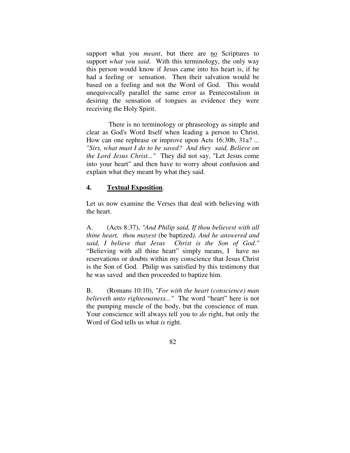support what you *meant*, but there are no Scriptures to support *what you said*. With this terminology, the only way this person would know if Jesus came into his heart is, if he had a feeling or sensation. Then their salvation would be based on a feeling and not the Word of God. This would unequivocally parallel the same error as Pentecostalism in desiring the sensation of tongues as evidence they were receiving the Holy Spirit.

 There is no terminology or phraseology as simple and clear as God's Word Itself when leading a person to Christ. How can one rephrase or improve upon Acts 16:30b, 31a? ... *"Sirs, what must I do to be saved? And they said, Believe on the Lord Jesus Christ..."* They did not say, "Let Jesus come into your heart" and then have to worry about confusion and explain what they meant by what they said.

## **4. Textual Exposition**.

Let us now examine the Verses that deal with believing with the heart.

A. (Acts 8:37), *"And Philip said, If thou believest with all thine heart, thou mayest* (be baptized*). And he answered and said, I believe that Jesus Christ is the Son of God."* "Believing with all thine heart" simply means, I have no reservations or doubts within my conscience that Jesus Christ is the Son of God. Philip was satisfied by this testimony that he was saved and then proceeded to baptize him.

B. (Romans 10:10), *"For with the heart (conscience) man believeth unto righteousness..."* The word "heart" here is not the pumping muscle of the body, but the conscience of man. Your conscience will always tell you to *do* right, but only the Word of God tells us what *is* right.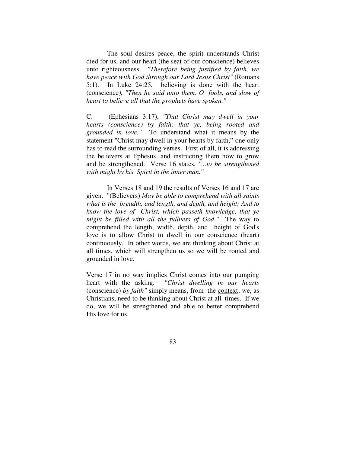The soul desires peace, the spirit understands Christ died for us, and our heart (the seat of our conscience) believes unto righteousness. *"Therefore being justified by faith, we have peace with God through our Lord Jesus Christ"* (Romans 5:1). In Luke 24:25, believing is done with the heart (conscience*), "Then he said unto them, O fools, and slow of heart to believe all that the prophets have spoken."* 

C. (Ephesians 3:17), *"That Christ may dwell in your hearts (conscience) by faith; that ye, being rooted and grounded in love."* To understand what it means by the statement "Christ may dwell in your hearts by faith," one only has to read the surrounding verses. First of all, it is addressing the believers at Ephesus, and instructing them how to grow and be strengthened. Verse 16 states, *"...to be strengthened with might by his Spirit in the inner man."* 

 In Verses 18 and 19 the results of Verses 16 and 17 are given. "(Believers) *May be able to comprehend with all saints what is the breadth, and length, and depth, and height; And to know the love of Christ, which passeth knowledge, that ye might be filled with all the fullness of God."* The way to comprehend the length, width, depth, and height of God's love is to allow Christ to dwell in our conscience (heart) continuously. In other words, we are thinking about Christ at all times, which will strengthen us so we will be rooted and grounded in love.

Verse 17 in no way implies Christ comes into our pumping heart with the asking. *"Christ dwelling in our hearts* (conscience) *by faith"* simply means, from the context; we, as Christians, need to be thinking about Christ at all times. If we do, we will be strengthened and able to better comprehend His love for us.

83 and the state of the state of the state of the state of the state of the state of the state of the state of the state of the state of the state of the state of the state of the state of the state of the state of the sta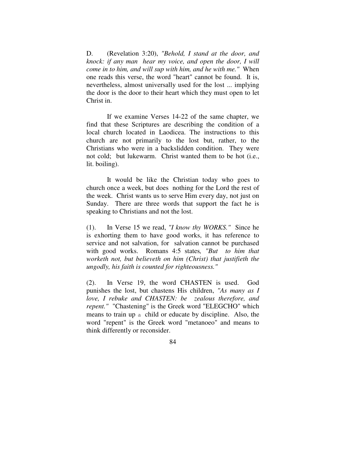D. (Revelation 3:20), *"Behold, I stand at the door, and knock: if any man hear my voice, and open the door, I will come in to him, and will sup with him, and he with me."* When one reads this verse, the word "heart" cannot be found. It is, nevertheless, almost universally used for the lost ... implying the door is the door to their heart which they must open to let Christ in.

 If we examine Verses 14-22 of the same chapter, we find that these Scriptures are describing the condition of a local church located in Laodicea. The instructions to this church are not primarily to the lost but, rather, to the Christians who were in a backslidden condition. They were not cold; but lukewarm. Christ wanted them to be hot (i.e., lit. boiling).

 It would be like the Christian today who goes to church once a week, but does nothing for the Lord the rest of the week. Christ wants us to serve Him every day, not just on Sunday. There are three words that support the fact he is speaking to Christians and not the lost.

(1). In Verse 15 we read, *"I know thy WORKS."* Since he is exhorting them to have good works, it has reference to service and not salvation, for salvation cannot be purchased with good works. Romans 4:5 states*, "But to him that worketh not, but believeth on him (Christ) that justifieth the ungodly, his faith is counted for righteousness."* 

(2). In Verse 19, the word CHASTEN is used. God punishes the lost, but chastens His children, *"As many as I love, I rebuke and CHASTEN: be zealous therefore, and repent."* "Chastening" is the Greek word "ELEGCHO" which means to train up a child or educate by discipline. Also, the word "repent" is the Greek word "metanoeo" and means to think differently or reconsider.

84 and 2012 and 2013 and 2014 and 2014 and 2014 and 2014 and 2014 and 2014 and 2014 and 2014 and 2014 and 2014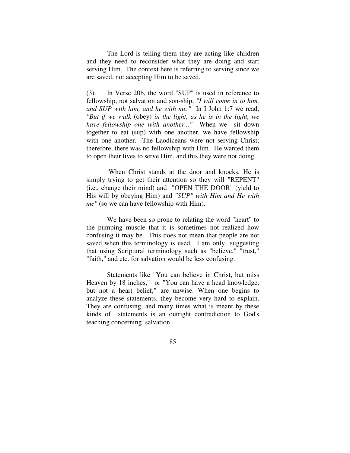The Lord is telling them they are acting like children and they need to reconsider what they are doing and start serving Him. The context here is referring to serving since we are saved, not accepting Him to be saved.

(3). In Verse 20b, the word "SUP" is used in reference to fellowship, not salvation and son-ship, *"I will come in to him, and SUP with him, and he with me."* In I John 1:7 we read, *"But if we walk* (obey) *in the light, as he is in the light, we have fellowship one with another..."* When we sit down together to eat (sup) with one another, we have fellowship with one another. The Laodiceans were not serving Christ; therefore, there was no fellowship with Him. He wanted them to open their lives to serve Him, and this they were not doing.

 When Christ stands at the door and knocks, He is simply trying to get their attention so they will "REPENT" (i.e., change their mind) and "OPEN THE DOOR" (yield to His will by obeying Him) and *"SUP" with Him and He with me"* (so we can have fellowship with Him).

 We have been so prone to relating the word "heart" to the pumping muscle that it is sometimes not realized how confusing it may be. This does not mean that people are not saved when this terminology is used. I am only suggesting that using Scriptural terminology such as "believe," "trust," "faith," and etc. for salvation would be less confusing.

 Statements like "You can believe in Christ, but miss Heaven by 18 inches," or "You can have a head knowledge, but not a heart belief," are unwise. When one begins to analyze these statements, they become very hard to explain. They are confusing, and many times what is meant by these kinds of statements is an outright contradiction to God's teaching concerning salvation.

85 and 2012 and 2013 and 2014 and 2014 and 2014 and 2014 and 2014 and 2014 and 2014 and 2014 and 2014 and 2014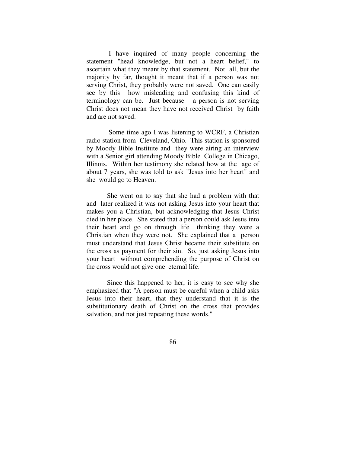I have inquired of many people concerning the statement "head knowledge, but not a heart belief," to ascertain what they meant by that statement. Not all, but the majority by far, thought it meant that if a person was not serving Christ, they probably were not saved. One can easily see by this how misleading and confusing this kind of terminology can be. Just because a person is not serving Christ does not mean they have not received Christ by faith and are not saved.

 Some time ago I was listening to WCRF, a Christian radio station from Cleveland, Ohio. This station is sponsored by Moody Bible Institute and they were airing an interview with a Senior girl attending Moody Bible College in Chicago, Illinois. Within her testimony she related how at the age of about 7 years, she was told to ask "Jesus into her heart" and she would go to Heaven.

 She went on to say that she had a problem with that and later realized it was not asking Jesus into your heart that makes you a Christian, but acknowledging that Jesus Christ died in her place. She stated that a person could ask Jesus into their heart and go on through life thinking they were a Christian when they were not. She explained that a person must understand that Jesus Christ became their substitute on the cross as payment for their sin. So, just asking Jesus into your heart without comprehending the purpose of Christ on the cross would not give one eternal life.

 Since this happened to her, it is easy to see why she emphasized that "A person must be careful when a child asks Jesus into their heart, that they understand that it is the substitutionary death of Christ on the cross that provides salvation, and not just repeating these words."

86 and 2012 and 2013 and 2014 and 2014 and 2014 and 2014 and 2014 and 2014 and 2014 and 2014 and 2014 and 2014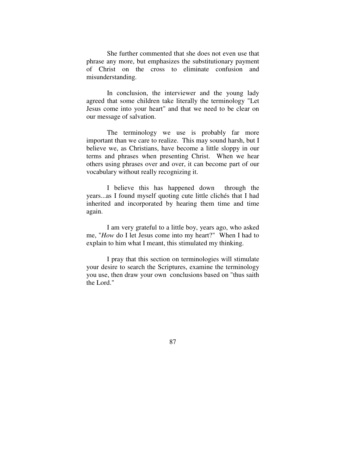She further commented that she does not even use that phrase any more, but emphasizes the substitutionary payment of Christ on the cross to eliminate confusion and misunderstanding.

 In conclusion, the interviewer and the young lady agreed that some children take literally the terminology "Let Jesus come into your heart" and that we need to be clear on our message of salvation.

 The terminology we use is probably far more important than we care to realize. This may sound harsh, but I believe we, as Christians, have become a little sloppy in our terms and phrases when presenting Christ. When we hear others using phrases over and over, it can become part of our vocabulary without really recognizing it.

 I believe this has happened down through the years...as I found myself quoting cute little clichés that I had inherited and incorporated by hearing them time and time again.

 I am very grateful to a little boy, years ago, who asked me, "*How* do I let Jesus come into my heart?" When I had to explain to him what I meant, this stimulated my thinking.

 I pray that this section on terminologies will stimulate your desire to search the Scriptures, examine the terminology you use, then draw your own conclusions based on "thus saith the Lord."

87 (b) and the state of the state of the state of the state of the state of the state of the state of the state of the state of the state of the state of the state of the state of the state of the state of the state of the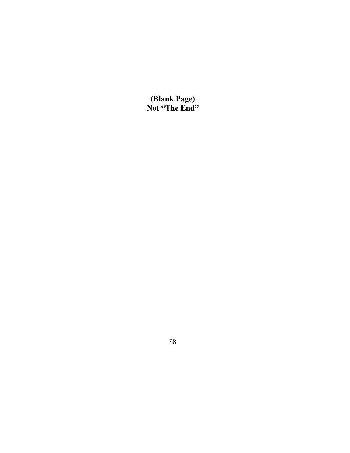**(Blank Page) Not "The End"**

<u>88 and 200 and 200 and 200 and 200 and 200 and 200 and 200 and 200 and 200 and 200 and 200 and 200 and 200 and 200 and 200 and 200 and 200 and 200 and 200 and 200 and 200 and 200 and 200 and 200 and 200 and 200 and 200 an</u>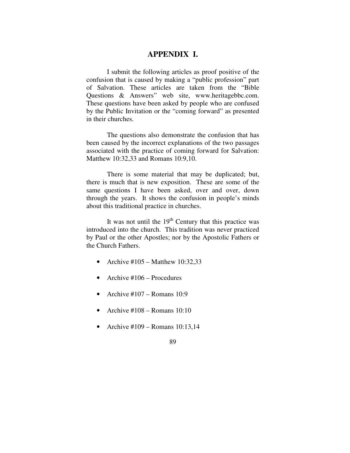# **APPENDIX I.**

 I submit the following articles as proof positive of the confusion that is caused by making a "public profession" part of Salvation. These articles are taken from the "Bible Questions & Answers" web site, www.heritagebbc.com. These questions have been asked by people who are confused by the Public Invitation or the "coming forward" as presented in their churches.

 The questions also demonstrate the confusion that has been caused by the incorrect explanations of the two passages associated with the practice of coming forward for Salvation: Matthew 10:32,33 and Romans 10:9,10.

 There is some material that may be duplicated; but, there is much that is new exposition. These are some of the same questions I have been asked, over and over, down through the years. It shows the confusion in people's minds about this traditional practice in churches.

It was not until the  $19<sup>th</sup>$  Century that this practice was introduced into the church. This tradition was never practiced by Paul or the other Apostles; nor by the Apostolic Fathers or the Church Fathers.

- Archive  $\text{\#}105 \text{Matthew }10:32,33$
- Archive  $\#106$  Procedures
- Archive  $\text{\#}107 \text{Romans }10:9$
- Archive  $\text{\#}108 \text{Romans} 10:10$
- Archive #109 Romans  $10:13,14$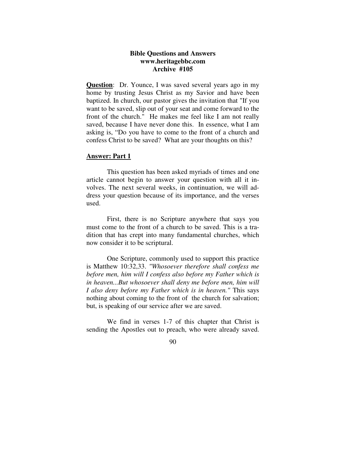# **Bible Questions and Answers www.heritagebbc.com Archive #105**

**Question**: Dr. Younce, I was saved several years ago in my home by trusting Jesus Christ as my Savior and have been baptized. In church, our pastor gives the invitation that "If you want to be saved, slip out of your seat and come forward to the front of the church." He makes me feel like I am not really saved, because I have never done this. In essence, what I am asking is, "Do you have to come to the front of a church and confess Christ to be saved? What are your thoughts on this?

### **Answer: Part 1**

 This question has been asked myriads of times and one article cannot begin to answer your question with all it involves. The next several weeks, in continuation, we will address your question because of its importance, and the verses used.

 First, there is no Scripture anywhere that says you must come to the front of a church to be saved. This is a tradition that has crept into many fundamental churches, which now consider it to be scriptural.

 One Scripture, commonly used to support this practice is Matthew 10:32,33. *"Whosoever therefore shall confess me before men, him will I confess also before my Father which is in heaven...But whosoever shall deny me before men, him will I also deny before my Father which is in heaven."* This says nothing about coming to the front of the church for salvation; but, is speaking of our service after we are saved.

 We find in verses 1-7 of this chapter that Christ is sending the Apostles out to preach, who were already saved.

external control of the state of the state of the state of the state of the state of the state of the state of the state of the state of the state of the state of the state of the state of the state of the state of the sta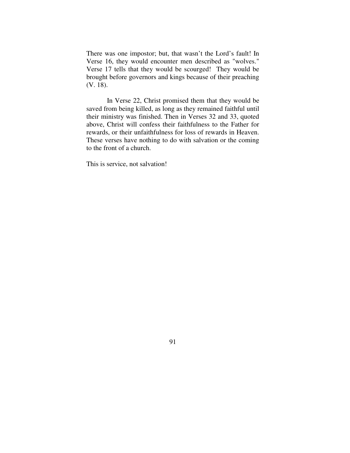There was one impostor; but, that wasn't the Lord's fault! In Verse 16, they would encounter men described as "wolves." Verse 17 tells that they would be scourged! They would be brought before governors and kings because of their preaching (V. 18).

 In Verse 22, Christ promised them that they would be saved from being killed, as long as they remained faithful until their ministry was finished. Then in Verses 32 and 33, quoted above, Christ will confess their faithfulness to the Father for rewards, or their unfaithfulness for loss of rewards in Heaven. These verses have nothing to do with salvation or the coming to the front of a church.

This is service, not salvation!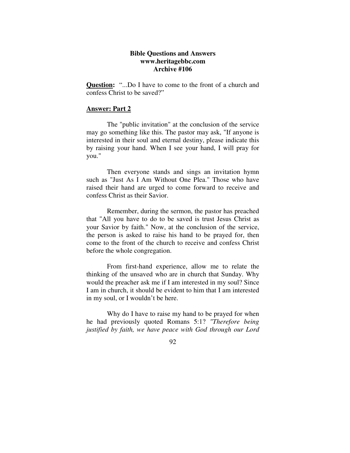# **Bible Questions and Answers www.heritagebbc.com Archive #106**

**Question:** "...Do I have to come to the front of a church and confess Christ to be saved?"

### **Answer: Part 2**

 The "public invitation" at the conclusion of the service may go something like this. The pastor may ask, "If anyone is interested in their soul and eternal destiny, please indicate this by raising your hand. When I see your hand, I will pray for you."

 Then everyone stands and sings an invitation hymn such as "Just As I Am Without One Plea." Those who have raised their hand are urged to come forward to receive and confess Christ as their Savior.

 Remember, during the sermon, the pastor has preached that "All you have to do to be saved is trust Jesus Christ as your Savior by faith." Now, at the conclusion of the service, the person is asked to raise his hand to be prayed for, then come to the front of the church to receive and confess Christ before the whole congregation.

 From first-hand experience, allow me to relate the thinking of the unsaved who are in church that Sunday. Why would the preacher ask me if I am interested in my soul? Since I am in church, it should be evident to him that I am interested in my soul, or I wouldn't be here.

 Why do I have to raise my hand to be prayed for when he had previously quoted Romans 5:1? *"Therefore being justified by faith, we have peace with God through our Lord*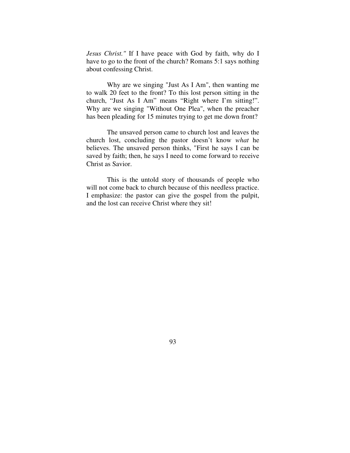*Jesus Christ."* If I have peace with God by faith, why do I have to go to the front of the church? Romans 5:1 says nothing about confessing Christ.

 Why are we singing "Just As I Am", then wanting me to walk 20 feet to the front? To this lost person sitting in the church, "Just As I Am" means "Right where I'm sitting!". Why are we singing "Without One Plea", when the preacher has been pleading for 15 minutes trying to get me down front?

 The unsaved person came to church lost and leaves the church lost, concluding the pastor doesn't know *what* he believes. The unsaved person thinks, "First he says I can be saved by faith; then, he says I need to come forward to receive Christ as Savior.

 This is the untold story of thousands of people who will not come back to church because of this needless practice. I emphasize: the pastor can give the gospel from the pulpit, and the lost can receive Christ where they sit!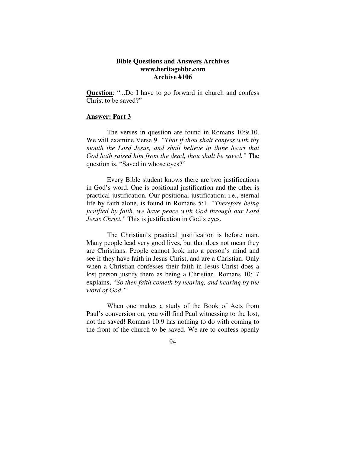# **Bible Questions and Answers Archives www.heritagebbc.com Archive #106**

**Question**: "...Do I have to go forward in church and confess Christ to be saved?"

## **Answer: Part 3**

 The verses in question are found in Romans 10:9,10. We will examine Verse 9. *"That if thou shalt confess with thy mouth the Lord Jesus, and shalt believe in thine heart that God hath raised him from the dead, thou shalt be saved."* The question is, "Saved in whose eyes?"

 Every Bible student knows there are two justifications in God's word. One is positional justification and the other is practical justification. Our positional justification; i.e., eternal life by faith alone, is found in Romans 5:1. *"Therefore being justified by faith, we have peace with God through our Lord Jesus Christ."* This is justification in God's eyes.

 The Christian's practical justification is before man. Many people lead very good lives, but that does not mean they are Christians. People cannot look into a person's mind and see if they have faith in Jesus Christ, and are a Christian. Only when a Christian confesses their faith in Jesus Christ does a lost person justify them as being a Christian. Romans 10:17 explains, *"So then faith cometh by hearing, and hearing by the word of God."*

 When one makes a study of the Book of Acts from Paul's conversion on, you will find Paul witnessing to the lost, not the saved! Romans 10:9 has nothing to do with coming to the front of the church to be saved. We are to confess openly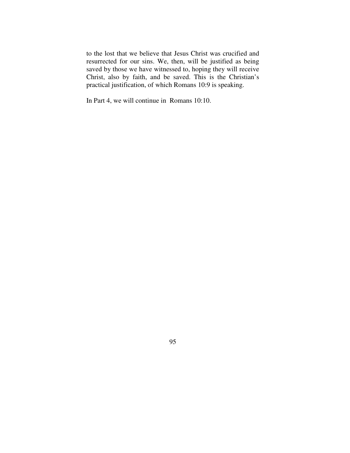to the lost that we believe that Jesus Christ was crucified and resurrected for our sins. We, then, will be justified as being saved by those we have witnessed to, hoping they will receive Christ, also by faith, and be saved. This is the Christian's practical justification, of which Romans 10:9 is speaking.

In Part 4, we will continue in Romans 10:10.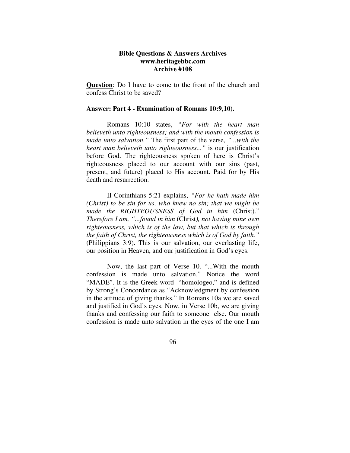# **Bible Questions & Answers Archives www.heritagebbc.com Archive #108**

**Question**: Do I have to come to the front of the church and confess Christ to be saved?

#### **Answer: Part 4 - Examination of Romans 10:9,10).**

 Romans 10:10 states, *"For with the heart man believeth unto righteousness; and with the mouth confession is made unto salvation."* The first part of the verse, *"...with the heart man believeth unto righteousness..."* is our justification before God. The righteousness spoken of here is Christ's righteousness placed to our account with our sins (past, present, and future) placed to His account. Paid for by His death and resurrection.

 II Corinthians 5:21 explains, *"For he hath made him (Christ) to be sin for us, who knew no sin; that we might be made the RIGHTEOUSNESS of God in him* (Christ)." *Therefore I am, "...found in him* (Christ*), not having mine own righteousness, which is of the law, but that which is through the faith of Christ, the righteousness which is of God by faith."* (Philippians 3:9). This is our salvation, our everlasting life, our position in Heaven, and our justification in God's eyes.

 Now, the last part of Verse 10. "...With the mouth confession is made unto salvation." Notice the word "MADE". It is the Greek word "homologeo," and is defined by Strong's Concordance as "Acknowledgment by confession in the attitude of giving thanks." In Romans 10a we are saved and justified in God's eyes. Now, in Verse 10b, we are giving thanks and confessing our faith to someone else. Our mouth confession is made unto salvation in the eyes of the one I am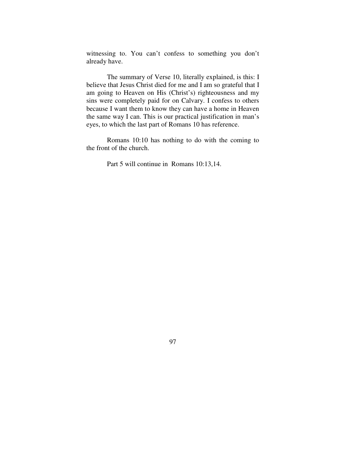witnessing to. You can't confess to something you don't already have.

 The summary of Verse 10, literally explained, is this: I believe that Jesus Christ died for me and I am so grateful that I am going to Heaven on His (Christ's) righteousness and my sins were completely paid for on Calvary. I confess to others because I want them to know they can have a home in Heaven the same way I can. This is our practical justification in man's eyes, to which the last part of Romans 10 has reference.

 Romans 10:10 has nothing to do with the coming to the front of the church.

Part 5 will continue in Romans 10:13,14.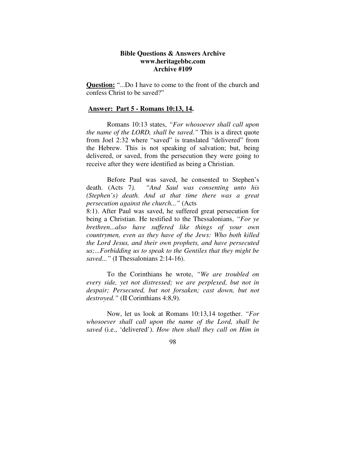# **Bible Questions & Answers Archive www.heritagebbc.com Archive #109**

**Question:** "...Do I have to come to the front of the church and confess Christ to be saved?"

#### **Answer: Part 5 - Romans 10:13, 14.**

 Romans 10:13 states, *"For whosoever shall call upon the name of the LORD, shall be saved."* This is a direct quote from Joel 2:32 where "saved" is translated "delivered" from the Hebrew. This is not speaking of salvation; but, being delivered, or saved, from the persecution they were going to receive after they were identified as being a Christian.

 Before Paul was saved, he consented to Stephen's death. (Acts 7*). "And Saul was consenting unto his (Stephen's) death. And at that time there was a great persecution against the church..."* (Acts

8:1). After Paul was saved, he suffered great persecution for being a Christian. He testified to the Thessalonians, *"For ye brethren...also have suffered like things of your own countrymen, even as they have of the Jews: Who both killed the Lord Jesus, and their own prophets, and have persecuted us;...Forbidding us to speak to the Gentiles that they might be saved..."* (I Thessalonians 2:14-16).

 To the Corinthians he wrote, *"We are troubled on every side, yet not distressed; we are perplexed, but not in despair; Persecuted, but not forsaken; cast down, but not destroyed."* (II Corinthians 4:8,9).

 Now, let us look at Romans 10:13,14 together. *"For whosoever shall call upon the name of the Lord, shall be saved* (i.e., 'delivered'). *How then shall they call on Him in*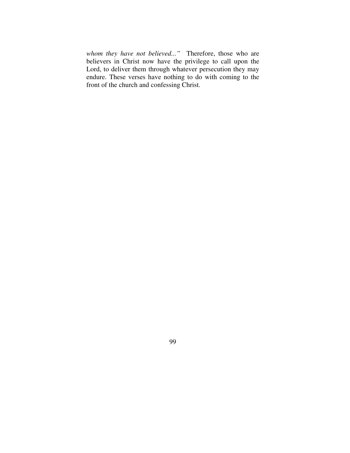*whom they have not believed..."* Therefore, those who are believers in Christ now have the privilege to call upon the Lord, to deliver them through whatever persecution they may endure. These verses have nothing to do with coming to the front of the church and confessing Christ.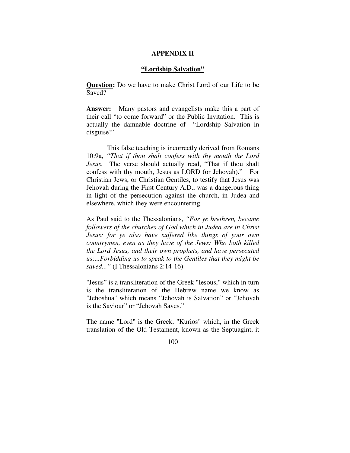# **APPENDIX II**

### **"Lordship Salvation"**

**Question:** Do we have to make Christ Lord of our Life to be Saved?

**Answer:** Many pastors and evangelists make this a part of their call "to come forward" or the Public Invitation. This is actually the damnable doctrine of "Lordship Salvation in disguise!"

 This false teaching is incorrectly derived from Romans 10:9a, *"That if thou shalt confess with thy mouth the Lord Jesus.* The verse should actually read, "That if thou shalt confess with thy mouth, Jesus as LORD (or Jehovah)." For Christian Jews, or Christian Gentiles, to testify that Jesus was Jehovah during the First Century A.D., was a dangerous thing in light of the persecution against the church, in Judea and elsewhere, which they were encountering.

As Paul said to the Thessalonians, *"For ye brethren, became followers of the churches of God which in Judea are in Christ Jesus: for ye also have suffered like things of your own countrymen, even as they have of the Jews: Who both killed the Lord Jesus, and their own prophets, and have persecuted us;...Forbidding us to speak to the Gentiles that they might be saved..."* (I Thessalonians 2:14-16).

"Jesus" is a transliteration of the Greek "Iesous," which in turn is the transliteration of the Hebrew name we know as "Jehoshua" which means "Jehovah is Salvation" or "Jehovah is the Saviour" or "Jehovah Saves."

The name "Lord" is the Greek, "Kurios" which, in the Greek translation of the Old Testament, known as the Septuagint, it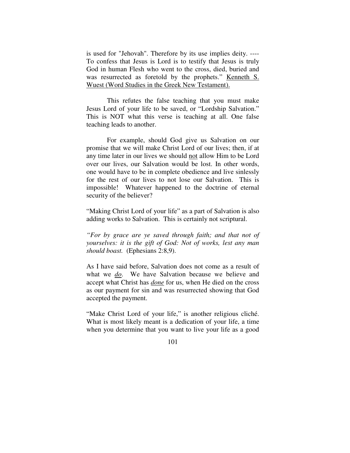is used for "Jehovah". Therefore by its use implies deity. ---- To confess that Jesus is Lord is to testify that Jesus is truly God in human Flesh who went to the cross, died, buried and was resurrected as foretold by the prophets." Kenneth S. Wuest (Word Studies in the Greek New Testament).

 This refutes the false teaching that you must make Jesus Lord of your life to be saved, or "Lordship Salvation." This is NOT what this verse is teaching at all. One false teaching leads to another.

 For example, should God give us Salvation on our promise that we will make Christ Lord of our lives; then, if at any time later in our lives we should not allow Him to be Lord over our lives, our Salvation would be lost. In other words, one would have to be in complete obedience and live sinlessly for the rest of our lives to not lose our Salvation. This is impossible! Whatever happened to the doctrine of eternal security of the believer?

"Making Christ Lord of your life" as a part of Salvation is also adding works to Salvation. This is certainly not scriptural.

*"For by grace are ye saved through faith; and that not of yourselves: it is the gift of God: Not of works, lest any man should boast.* (Ephesians 2:8,9).

As I have said before, Salvation does not come as a result of what we *do*. We have Salvation because we believe and accept what Christ has *done* for us, when He died on the cross as our payment for sin and was resurrected showing that God accepted the payment.

"Make Christ Lord of your life," is another religious cliché. What is most likely meant is a dedication of your life, a time when you determine that you want to live your life as a good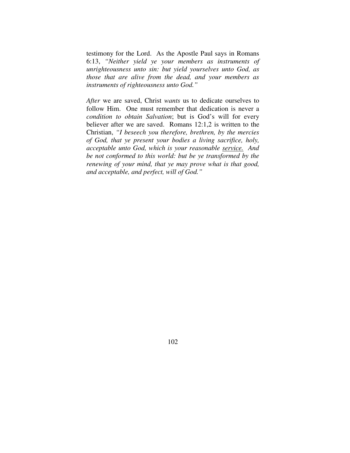testimony for the Lord. As the Apostle Paul says in Romans 6:13, *"Neither yield ye your members as instruments of unrighteousness unto sin: but yield yourselves unto God, as those that are alive from the dead, and your members as instruments of righteousness unto God."* 

*After* we are saved, Christ *wants* us to dedicate ourselves to follow Him. One must remember that dedication is never a *condition to obtain Salvation*; but is God's will for every believer after we are saved. Romans 12:1,2 is written to the Christian, *"I beseech you therefore, brethren, by the mercies of God, that ye present your bodies a living sacrifice, holy, acceptable unto God, which is your reasonable service. And be not conformed to this world: but be ye transformed by the renewing of your mind, that ye may prove what is that good, and acceptable, and perfect, will of God."*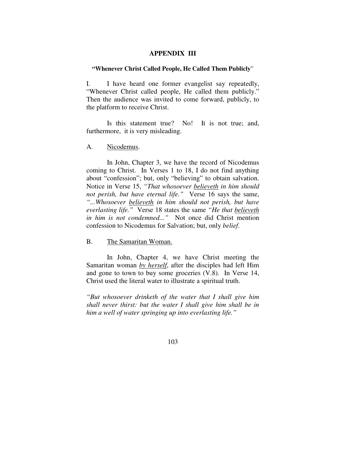## **APPENDIX III**

### **"Whenever Christ Called People, He Called Them Publicly**"

I. I have heard one former evangelist say repeatedly, "Whenever Christ called people, He called them publicly." Then the audience was invited to come forward, publicly, to the platform to receive Christ.

 Is this statement true? No! It is not true; and, furthermore, it is very misleading.

A. Nicodemus.

 In John, Chapter 3, we have the record of Nicodemus coming to Christ. In Verses 1 to 18, I do not find anything about "confession"; but, only "believing" to obtain salvation. Notice in Verse 15, *"That whosoever believeth in him should not perish, but have eternal life."* Verse 16 says the same, *"...Whosoever believeth in him should not perish, but have everlasting life."* Verse 18 states the same *"He that believeth in him is not condemned..."* Not once did Christ mention confession to Nicodemus for Salvation; but, only *belief*.

B. The Samaritan Woman.

 In John, Chapter 4, we have Christ meeting the Samaritan woman *by herself*, after the disciples had left Him and gone to town to buy some groceries (V.8). In Verse 14, Christ used the literal water to illustrate a spiritual truth.

*"But whosoever drinketh of the water that I shall give him shall never thirst: but the water I shall give him shall be in him a well of water springing up into everlasting life."*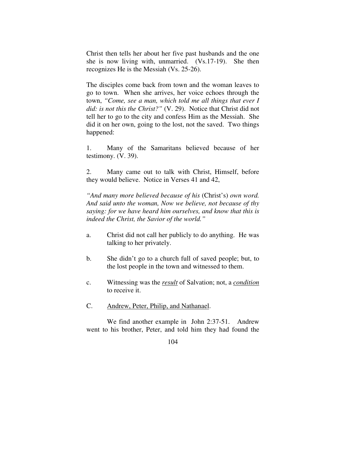Christ then tells her about her five past husbands and the one she is now living with, unmarried. (Vs.17-19). She then recognizes He is the Messiah (Vs. 25-26).

The disciples come back from town and the woman leaves to go to town. When she arrives, her voice echoes through the town, *"Come, see a man, which told me all things that ever I did: is not this the Christ?"* (V. 29). Notice that Christ did not tell her to go to the city and confess Him as the Messiah. She did it on her own, going to the lost, not the saved. Two things happened:

1. Many of the Samaritans believed because of her testimony. (V. 39).

2. Many came out to talk with Christ, Himself, before they would believe. Notice in Verses 41 and 42,

*"And many more believed because of his* (Christ's) *own word. And said unto the woman, Now we believe, not because of thy saying: for we have heard him ourselves, and know that this is indeed the Christ, the Savior of the world."* 

- a. Christ did not call her publicly to do anything. He was talking to her privately.
- b. She didn't go to a church full of saved people; but, to the lost people in the town and witnessed to them.
- c. Witnessing was the *result* of Salvation; not, a *condition* to receive it.
- C. Andrew, Peter, Philip, and Nathanael.

 We find another example in John 2:37-51. Andrew went to his brother, Peter, and told him they had found the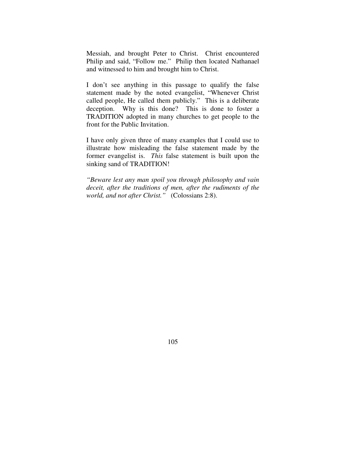Messiah, and brought Peter to Christ. Christ encountered Philip and said, "Follow me." Philip then located Nathanael and witnessed to him and brought him to Christ.

I don't see anything in this passage to qualify the false statement made by the noted evangelist, "Whenever Christ called people, He called them publicly." This is a deliberate deception. Why is this done? This is done to foster a TRADITION adopted in many churches to get people to the front for the Public Invitation.

I have only given three of many examples that I could use to illustrate how misleading the false statement made by the former evangelist is. *This* false statement is built upon the sinking sand of TRADITION!

*"Beware lest any man spoil you through philosophy and vain deceit, after the traditions of men, after the rudiments of the world, and not after Christ."* (Colossians 2:8).